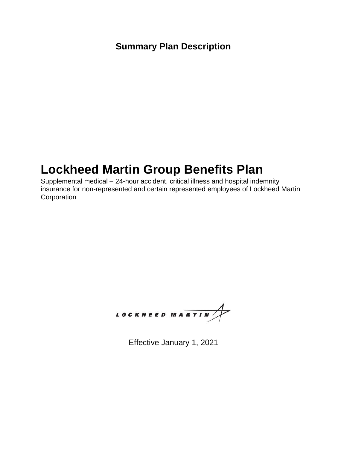### **Summary Plan Description**

## **Lockheed Martin Group Benefits Plan**

Supplemental medical – 24-hour accident, critical illness and hospital indemnity insurance for non-represented and certain represented employees of Lockheed Martin **Corporation** 



Effective January 1, 2021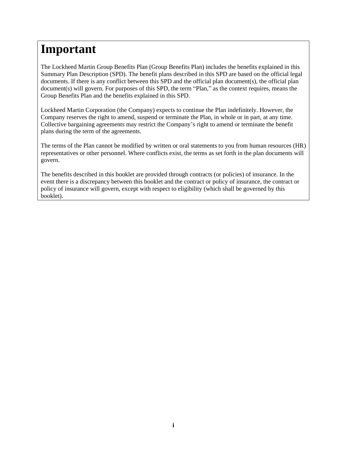## **Important**

The Lockheed Martin Group Benefits Plan (Group Benefits Plan) includes the benefits explained in this Summary Plan Description (SPD). The benefit plans described in this SPD are based on the official legal documents. If there is any conflict between this SPD and the official plan document(s), the official plan document(s) will govern. For purposes of this SPD, the term "Plan," as the context requires, means the Group Benefits Plan and the benefits explained in this SPD.

Lockheed Martin Corporation (the Company) expects to continue the Plan indefinitely. However, the Company reserves the right to amend, suspend or terminate the Plan, in whole or in part, at any time. Collective bargaining agreements may restrict the Company's right to amend or terminate the benefit plans during the term of the agreements.

The terms of the Plan cannot be modified by written or oral statements to you from human resources (HR) representatives or other personnel. Where conflicts exist, the terms as set forth in the plan documents will govern.

The benefits described in this booklet are provided through contracts (or policies) of insurance. In the event there is a discrepancy between this booklet and the contract or policy of insurance, the contract or policy of insurance will govern, except with respect to eligibility (which shall be governed by this booklet).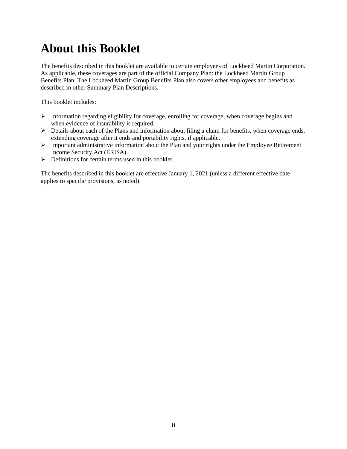## **About this Booklet**

The benefits described in this booklet are available to certain employees of Lockheed Martin Corporation. As applicable, these coverages are part of the official Company Plan: the Lockheed Martin Group Benefits Plan. The Lockheed Martin Group Benefits Plan also covers other employees and benefits as described in other Summary Plan Descriptions.

This booklet includes:

- $\triangleright$  Information regarding eligibility for coverage, enrolling for coverage, when coverage begins and when evidence of insurability is required.
- ➢ Details about each of the Plans and information about filing a claim for benefits, when coverage ends, extending coverage after it ends and portability rights, if applicable.
- ➢ Important administrative information about the Plan and your rights under the Employee Retirement Income Security Act (ERISA).
- ➢ Definitions for certain terms used in this booklet.

The benefits described in this booklet are effective January 1, 2021 (unless a different effective date applies to specific provisions, as noted).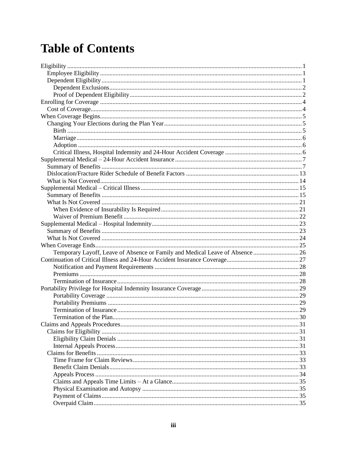# **Table of Contents**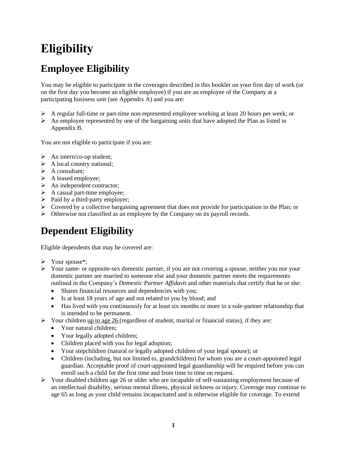## <span id="page-5-0"></span>**Eligibility**

## <span id="page-5-1"></span>**Employee Eligibility**

You may be eligible to participate in the coverages described in this booklet on your first day of work (or on the first day you become an eligible employee) if you are an employee of the Company at a participating business unit (see Appendix A) and you are:

- $\triangleright$  A regular full-time or part-time non-represented employee working at least 20 hours per week; or
- $\triangleright$  An employee represented by one of the bargaining units that have adopted the Plan as listed in Appendix B.

You are not eligible to participate if you are:

- $\triangleright$  An intern/co-op student;
- $\triangleright$  A local country national;
- $\triangleright$  A consultant;
- ➢ A leased employee;
- ➢ An independent contractor;
- $\triangleright$  A casual part-time employee;
- $\triangleright$  Paid by a third-party employer;
- $\triangleright$  Covered by a collective bargaining agreement that does not provide for participation in the Plan; or
- ➢ Otherwise not classified as an employee by the Company on its payroll records.

## <span id="page-5-2"></span>**Dependent Eligibility**

Eligible dependents that may be covered are:

- ➢ Your spouse\*;
- ➢ Your same- or opposite-sex domestic partner, if you are not covering a spouse, neither you nor your domestic partner are married to someone else and your domestic partner meets the requirements outlined in the Company's *Domestic Partner Affidavit* and other materials that certify that he or she:
	- Shares financial resources and dependencies with you;
	- Is at least 18 years of age and not related to you by blood; and
	- Has lived with you continuously for at least six months or more in a sole-partner relationship that is intended to be permanent.
- $\triangleright$  Your children up to age 26 (regardless of student, marital or financial status), if they are:
	- Your natural children:
	- Your legally adopted children;
	- Children placed with you for legal adoption;
	- Your stepchildren (natural or legally adopted children of your legal spouse); or
	- Children (including, but not limited to, grandchildren) for whom you are a court-appointed legal guardian. Acceptable proof of court-appointed legal guardianship will be required before you can enroll such a child for the first time and from time to time on request.
- $\triangleright$  Your disabled children age 26 or older who are incapable of self-sustaining employment because of an intellectual disability, serious mental illness, physical sickness or injury. Coverage may continue to age 65 as long as your child remains incapacitated and is otherwise eligible for coverage. To extend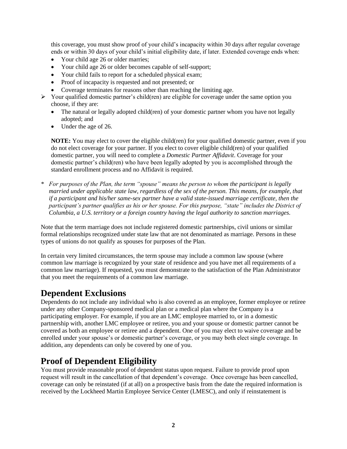this coverage, you must show proof of your child's incapacity within 30 days after regular coverage ends or within 30 days of your child's initial eligibility date, if later. Extended coverage ends when:

- Your child age 26 or older marries;
- Your child age 26 or older becomes capable of self-support;
- Your child fails to report for a scheduled physical exam;
- Proof of incapacity is requested and not presented; or
- Coverage terminates for reasons other than reaching the limiting age.
- $\triangleright$  Your qualified domestic partner's child(ren) are eligible for coverage under the same option you choose, if they are:
	- The natural or legally adopted child(ren) of your domestic partner whom you have not legally adopted; and
	- Under the age of 26.

**NOTE:** You may elect to cover the eligible child(ren) for your qualified domestic partner, even if you do not elect coverage for your partner. If you elect to cover eligible child(ren) of your qualified domestic partner, you will need to complete a *Domestic Partner Affidavit*. Coverage for your domestic partner's child(ren) who have been legally adopted by you is accomplished through the standard enrollment process and no Affidavit is required.

*\* For purposes of the Plan, the term "spouse" means the person to whom the participant is legally married under applicable state law, regardless of the sex of the person. This means, for example, that if a participant and his/her same-sex partner have a valid state-issued marriage certificate, then the participant's partner qualifies as his or her spouse. For this purpose, "state" includes the District of Columbia, a U.S. territory or a foreign country having the legal authority to sanction marriages.*

Note that the term marriage does not include registered domestic partnerships, civil unions or similar formal relationships recognized under state law that are not denominated as marriage. Persons in these types of unions do not qualify as spouses for purposes of the Plan.

In certain very limited circumstances, the term spouse may include a common law spouse (where common law marriage is recognized by your state of residence and you have met all requirements of a common law marriage). If requested, you must demonstrate to the satisfaction of the Plan Administrator that you meet the requirements of a common law marriage.

#### <span id="page-6-0"></span>**Dependent Exclusions**

Dependents do not include any individual who is also covered as an employee, former employee or retiree under any other Company-sponsored medical plan or a medical plan where the Company is a participating employer. For example, if you are an LMC employee married to, or in a domestic partnership with, another LMC employee or retiree, you and your spouse or domestic partner cannot be covered as both an employee or retiree and a dependent. One of you may elect to waive coverage and be enrolled under your spouse's or domestic partner's coverage, or you may both elect single coverage. In addition, any dependents can only be covered by one of you.

#### <span id="page-6-1"></span>**Proof of Dependent Eligibility**

You must provide reasonable proof of dependent status upon request. Failure to provide proof upon request will result in the cancellation of that dependent's coverage. Once coverage has been cancelled, coverage can only be reinstated (if at all) on a prospective basis from the date the required information is received by the Lockheed Martin Employee Service Center (LMESC), and only if reinstatement is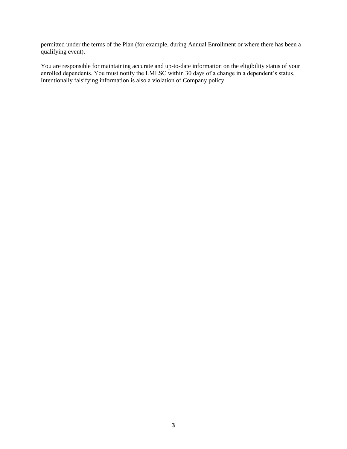permitted under the terms of the Plan (for example, during Annual Enrollment or where there has been a qualifying event).

You are responsible for maintaining accurate and up-to-date information on the eligibility status of your enrolled dependents. You must notify the LMESC within 30 days of a change in a dependent's status. Intentionally falsifying information is also a violation of Company policy.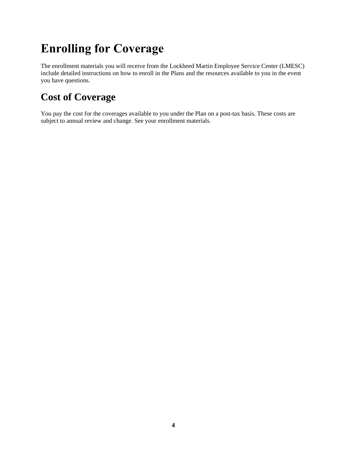# <span id="page-8-0"></span>**Enrolling for Coverage**

The enrollment materials you will receive from the Lockheed Martin Employee Service Center (LMESC) include detailed instructions on how to enroll in the Plans and the resources available to you in the event you have questions.

### <span id="page-8-1"></span>**Cost of Coverage**

You pay the cost for the coverages available to you under the Plan on a post-tax basis. These costs are subject to annual review and change. See your enrollment materials.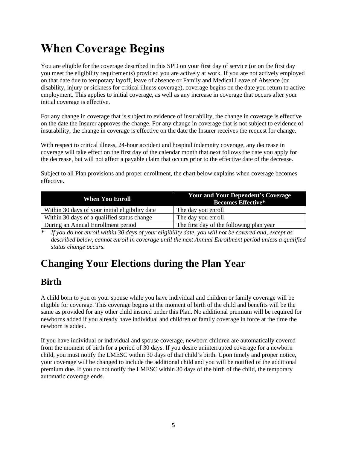# <span id="page-9-0"></span>**When Coverage Begins**

You are eligible for the coverage described in this SPD on your first day of service (or on the first day you meet the eligibility requirements) provided you are actively at work. If you are not actively employed on that date due to temporary layoff, leave of absence or Family and Medical Leave of Absence (or disability, injury or sickness for critical illness coverage), coverage begins on the date you return to active employment. This applies to initial coverage, as well as any increase in coverage that occurs after your initial coverage is effective.

For any change in coverage that is subject to evidence of insurability, the change in coverage is effective on the date the Insurer approves the change. For any change in coverage that is not subject to evidence of insurability, the change in coverage is effective on the date the Insurer receives the request for change.

With respect to critical illness, 24-hour accident and hospital indemnity coverage, any decrease in coverage will take effect on the first day of the calendar month that next follows the date you apply for the decrease, but will not affect a payable claim that occurs prior to the effective date of the decrease.

Subject to all Plan provisions and proper enrollment, the chart below explains when coverage becomes effective.

| <b>When You Enroll</b>                          | <b>Your and Your Dependent's Coverage</b><br><b>Becomes Effective*</b> |
|-------------------------------------------------|------------------------------------------------------------------------|
| Within 30 days of your initial eligibility date | The day you enroll                                                     |
| Within 30 days of a qualified status change     | The day you enroll                                                     |
| During an Annual Enrollment period              | The first day of the following plan year                               |

*\* If you do not enroll within 30 days of your eligibility date, you will not be covered and, except as described below, cannot enroll in coverage until the next Annual Enrollment period unless a qualified status change occurs.*

### <span id="page-9-1"></span>**Changing Your Elections during the Plan Year**

#### <span id="page-9-2"></span>**Birth**

A child born to you or your spouse while you have individual and children or family coverage will be eligible for coverage. This coverage begins at the moment of birth of the child and benefits will be the same as provided for any other child insured under this Plan. No additional premium will be required for newborns added if you already have individual and children or family coverage in force at the time the newborn is added.

If you have individual or individual and spouse coverage, newborn children are automatically covered from the moment of birth for a period of 30 days. If you desire uninterrupted coverage for a newborn child, you must notify the LMESC within 30 days of that child's birth. Upon timely and proper notice, your coverage will be changed to include the additional child and you will be notified of the additional premium due. If you do not notify the LMESC within 30 days of the birth of the child, the temporary automatic coverage ends.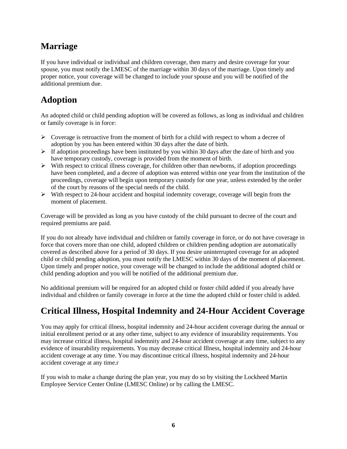### <span id="page-10-0"></span>**Marriage**

If you have individual or individual and children coverage, then marry and desire coverage for your spouse, you must notify the LMESC of the marriage within 30 days of the marriage. Upon timely and proper notice, your coverage will be changed to include your spouse and you will be notified of the additional premium due.

### <span id="page-10-1"></span>**Adoption**

An adopted child or child pending adoption will be covered as follows, as long as individual and children or family coverage is in force:

- ➢ Coverage is retroactive from the moment of birth for a child with respect to whom a decree of adoption by you has been entered within 30 days after the date of birth.
- $\triangleright$  If adoption proceedings have been instituted by you within 30 days after the date of birth and you have temporary custody, coverage is provided from the moment of birth.
- $\triangleright$  With respect to critical illness coverage, for children other than newborns, if adoption proceedings have been completed, and a decree of adoption was entered within one year from the institution of the proceedings, coverage will begin upon temporary custody for one year, unless extended by the order of the court by reasons of the special needs of the child.
- $\triangleright$  With respect to 24-hour accident and hospital indemnity coverage, coverage will begin from the moment of placement.

Coverage will be provided as long as you have custody of the child pursuant to decree of the court and required premiums are paid.

If you do not already have individual and children or family coverage in force, or do not have coverage in force that covers more than one child, adopted children or children pending adoption are automatically covered as described above for a period of 30 days. If you desire uninterrupted coverage for an adopted child or child pending adoption, you must notify the LMESC within 30 days of the moment of placement. Upon timely and proper notice, your coverage will be changed to include the additional adopted child or child pending adoption and you will be notified of the additional premium due.

No additional premium will be required for an adopted child or foster child added if you already have individual and children or family coverage in force at the time the adopted child or foster child is added.

### <span id="page-10-2"></span>**Critical Illness, Hospital Indemnity and 24-Hour Accident Coverage**

You may apply for critical illness, hospital indemnity and 24-hour accident coverage during the annual or initial enrollment period or at any other time, subject to any evidence of insurability requirements. You may increase critical illness, hospital indemnity and 24-hour accident coverage at any time, subject to any evidence of insurability requirements. You may decrease critical Illness, hospital indemnity and 24-hour accident coverage at any time. You may discontinue critical illness, hospital indemnity and 24-hour accident coverage at any time.r

If you wish to make a change during the plan year, you may do so by visiting the Lockheed Martin Employee Service Center Online (LMESC Online) or by calling the LMESC.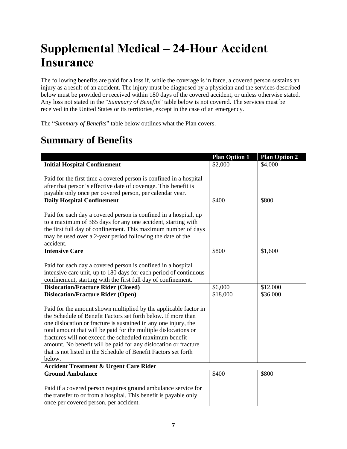# <span id="page-11-0"></span>**Supplemental Medical – 24-Hour Accident Insurance**

The following benefits are paid for a loss if, while the coverage is in force, a covered person sustains an injury as a result of an accident. The injury must be diagnosed by a physician and the services described below must be provided or received within 180 days of the covered accident, or unless otherwise stated. Any loss not stated in the "*Summary of Benefits*" table below is not covered. The services must be received in the United States or its territories, except in the case of an emergency.

The "*Summary of Benefits*" table below outlines what the Plan covers.

### <span id="page-11-1"></span>**Summary of Benefits**

|                                                                                                                                                                                                                                                                                                                                                                                                                                                                                    | <b>Plan Option 1</b> | <b>Plan Option 2</b> |
|------------------------------------------------------------------------------------------------------------------------------------------------------------------------------------------------------------------------------------------------------------------------------------------------------------------------------------------------------------------------------------------------------------------------------------------------------------------------------------|----------------------|----------------------|
| <b>Initial Hospital Confinement</b>                                                                                                                                                                                                                                                                                                                                                                                                                                                | \$2,000              | \$4,000              |
| Paid for the first time a covered person is confined in a hospital<br>after that person's effective date of coverage. This benefit is<br>payable only once per covered person, per calendar year.                                                                                                                                                                                                                                                                                  |                      |                      |
| <b>Daily Hospital Confinement</b>                                                                                                                                                                                                                                                                                                                                                                                                                                                  | \$400                | \$800                |
| Paid for each day a covered person is confined in a hospital, up<br>to a maximum of 365 days for any one accident, starting with<br>the first full day of confinement. This maximum number of days<br>may be used over a 2-year period following the date of the<br>accident.                                                                                                                                                                                                      |                      |                      |
| <b>Intensive Care</b>                                                                                                                                                                                                                                                                                                                                                                                                                                                              | \$800                | \$1,600              |
| Paid for each day a covered person is confined in a hospital<br>intensive care unit, up to 180 days for each period of continuous<br>confinement, starting with the first full day of confinement.                                                                                                                                                                                                                                                                                 |                      |                      |
| <b>Dislocation/Fracture Rider (Closed)</b>                                                                                                                                                                                                                                                                                                                                                                                                                                         | \$6,000              | \$12,000             |
| <b>Dislocation/Fracture Rider (Open)</b>                                                                                                                                                                                                                                                                                                                                                                                                                                           | \$18,000             | \$36,000             |
| Paid for the amount shown multiplied by the applicable factor in<br>the Schedule of Benefit Factors set forth below. If more than<br>one dislocation or fracture is sustained in any one injury, the<br>total amount that will be paid for the multiple dislocations or<br>fractures will not exceed the scheduled maximum benefit<br>amount. No benefit will be paid for any dislocation or fracture<br>that is not listed in the Schedule of Benefit Factors set forth<br>below. |                      |                      |
| <b>Accident Treatment &amp; Urgent Care Rider</b>                                                                                                                                                                                                                                                                                                                                                                                                                                  |                      |                      |
| <b>Ground Ambulance</b>                                                                                                                                                                                                                                                                                                                                                                                                                                                            | \$400                | \$800                |
| Paid if a covered person requires ground ambulance service for<br>the transfer to or from a hospital. This benefit is payable only<br>once per covered person, per accident.                                                                                                                                                                                                                                                                                                       |                      |                      |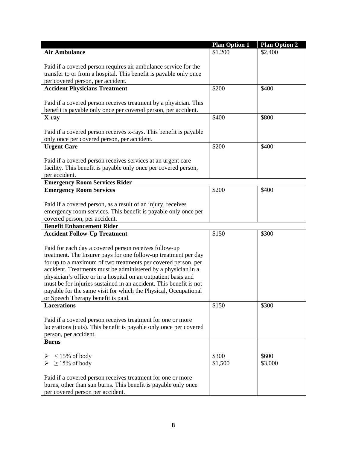|                                                                                                                                  | <b>Plan Option 1</b> | <b>Plan Option 2</b> |
|----------------------------------------------------------------------------------------------------------------------------------|----------------------|----------------------|
| <b>Air Ambulance</b>                                                                                                             | \$1.200              | \$2,400              |
|                                                                                                                                  |                      |                      |
| Paid if a covered person requires air ambulance service for the                                                                  |                      |                      |
| transfer to or from a hospital. This benefit is payable only once                                                                |                      |                      |
| per covered person, per accident.                                                                                                |                      |                      |
| <b>Accident Physicians Treatment</b>                                                                                             | \$200                | \$400                |
|                                                                                                                                  |                      |                      |
| Paid if a covered person receives treatment by a physician. This                                                                 |                      |                      |
| benefit is payable only once per covered person, per accident.<br>X-ray                                                          | \$400                | \$800                |
|                                                                                                                                  |                      |                      |
| Paid if a covered person receives x-rays. This benefit is payable                                                                |                      |                      |
| only once per covered person, per accident.                                                                                      |                      |                      |
| <b>Urgent Care</b>                                                                                                               | \$200                | \$400                |
|                                                                                                                                  |                      |                      |
| Paid if a covered person receives services at an urgent care                                                                     |                      |                      |
| facility. This benefit is payable only once per covered person,                                                                  |                      |                      |
| per accident.                                                                                                                    |                      |                      |
| <b>Emergency Room Services Rider</b>                                                                                             |                      |                      |
| <b>Emergency Room Services</b>                                                                                                   | \$200                | \$400                |
|                                                                                                                                  |                      |                      |
| Paid if a covered person, as a result of an injury, receives                                                                     |                      |                      |
| emergency room services. This benefit is payable only once per                                                                   |                      |                      |
| covered person, per accident.                                                                                                    |                      |                      |
| <b>Benefit Enhancement Rider</b>                                                                                                 |                      |                      |
| <b>Accident Follow-Up Treatment</b>                                                                                              | \$150                | \$300                |
|                                                                                                                                  |                      |                      |
| Paid for each day a covered person receives follow-up                                                                            |                      |                      |
| treatment. The Insurer pays for one follow-up treatment per day<br>for up to a maximum of two treatments per covered person, per |                      |                      |
| accident. Treatments must be administered by a physician in a                                                                    |                      |                      |
| physician's office or in a hospital on an outpatient basis and                                                                   |                      |                      |
| must be for injuries sustained in an accident. This benefit is not                                                               |                      |                      |
| payable for the same visit for which the Physical, Occupational                                                                  |                      |                      |
| or Speech Therapy benefit is paid.                                                                                               |                      |                      |
| <b>Lacerations</b>                                                                                                               | \$150                | \$300                |
|                                                                                                                                  |                      |                      |
| Paid if a covered person receives treatment for one or more                                                                      |                      |                      |
| lacerations (cuts). This benefit is payable only once per covered                                                                |                      |                      |
| person, per accident.                                                                                                            |                      |                      |
| <b>Burns</b>                                                                                                                     |                      |                      |
|                                                                                                                                  |                      |                      |
| $<$ 15% of body                                                                                                                  | \$300                | \$600                |
| $\geq$ 15% of body                                                                                                               | \$1,500              | \$3,000              |
|                                                                                                                                  |                      |                      |
| Paid if a covered person receives treatment for one or more                                                                      |                      |                      |
| burns, other than sun burns. This benefit is payable only once                                                                   |                      |                      |
| per covered person per accident.                                                                                                 |                      |                      |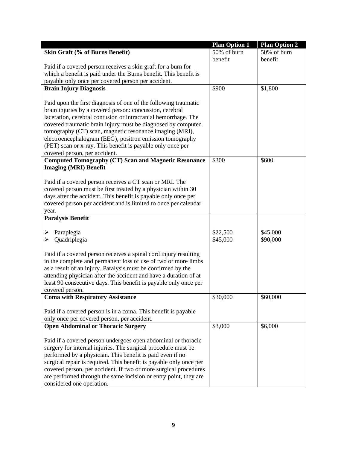|                                                                    | <b>Plan Option 1</b> | <b>Plan Option 2</b> |
|--------------------------------------------------------------------|----------------------|----------------------|
| Skin Graft (% of Burns Benefit)                                    | 50% of burn          | 50% of burn          |
|                                                                    | benefit              | benefit              |
| Paid if a covered person receives a skin graft for a burn for      |                      |                      |
| which a benefit is paid under the Burns benefit. This benefit is   |                      |                      |
| payable only once per covered person per accident.                 |                      |                      |
| <b>Brain Injury Diagnosis</b>                                      | \$900                | \$1,800              |
|                                                                    |                      |                      |
| Paid upon the first diagnosis of one of the following traumatic    |                      |                      |
| brain injuries by a covered person: concussion, cerebral           |                      |                      |
| laceration, cerebral contusion or intracranial hemorrhage. The     |                      |                      |
| covered traumatic brain injury must be diagnosed by computed       |                      |                      |
| tomography (CT) scan, magnetic resonance imaging (MRI),            |                      |                      |
| electroencephalogram (EEG), positron emission tomography           |                      |                      |
| (PET) scan or x-ray. This benefit is payable only once per         |                      |                      |
| covered person, per accident.                                      |                      |                      |
| <b>Computed Tomography (CT) Scan and Magnetic Resonance</b>        | \$300                | \$600                |
| <b>Imaging (MRI) Benefit</b>                                       |                      |                      |
|                                                                    |                      |                      |
| Paid if a covered person receives a CT scan or MRI. The            |                      |                      |
| covered person must be first treated by a physician within 30      |                      |                      |
| days after the accident. This benefit is payable only once per     |                      |                      |
| covered person per accident and is limited to once per calendar    |                      |                      |
| year.                                                              |                      |                      |
| <b>Paralysis Benefit</b>                                           |                      |                      |
|                                                                    |                      |                      |
| Paraplegia<br>➤                                                    | \$22,500             | \$45,000             |
| Quadriplegia<br>➤                                                  | \$45,000             | \$90,000             |
|                                                                    |                      |                      |
| Paid if a covered person receives a spinal cord injury resulting   |                      |                      |
| in the complete and permanent loss of use of two or more limbs     |                      |                      |
| as a result of an injury. Paralysis must be confirmed by the       |                      |                      |
| attending physician after the accident and have a duration of at   |                      |                      |
| least 90 consecutive days. This benefit is payable only once per   |                      |                      |
| covered person.                                                    |                      |                      |
| <b>Coma with Respiratory Assistance</b>                            | \$30,000             | \$60,000             |
|                                                                    |                      |                      |
| Paid if a covered person is in a coma. This benefit is payable     |                      |                      |
| only once per covered person, per accident.                        |                      |                      |
| <b>Open Abdominal or Thoracic Surgery</b>                          | \$3,000              | \$6,000              |
|                                                                    |                      |                      |
| Paid if a covered person undergoes open abdominal or thoracic      |                      |                      |
| surgery for internal injuries. The surgical procedure must be      |                      |                      |
| performed by a physician. This benefit is paid even if no          |                      |                      |
| surgical repair is required. This benefit is payable only once per |                      |                      |
| covered person, per accident. If two or more surgical procedures   |                      |                      |
| are performed through the same incision or entry point, they are   |                      |                      |
| considered one operation.                                          |                      |                      |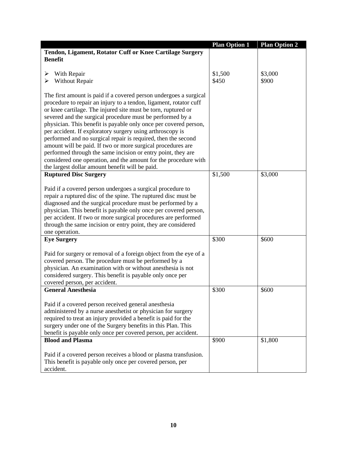|                                                                   | <b>Plan Option 1</b> | Plan Option 2 |
|-------------------------------------------------------------------|----------------------|---------------|
| Tendon, Ligament, Rotator Cuff or Knee Cartilage Surgery          |                      |               |
| <b>Benefit</b>                                                    |                      |               |
|                                                                   |                      |               |
| With Repair<br>➤                                                  | \$1,500              | \$3,000       |
| Without Repair<br>➤                                               | \$450                | \$900         |
|                                                                   |                      |               |
| The first amount is paid if a covered person undergoes a surgical |                      |               |
| procedure to repair an injury to a tendon, ligament, rotator cuff |                      |               |
| or knee cartilage. The injured site must be torn, ruptured or     |                      |               |
| severed and the surgical procedure must be performed by a         |                      |               |
| physician. This benefit is payable only once per covered person,  |                      |               |
| per accident. If exploratory surgery using arthroscopy is         |                      |               |
| performed and no surgical repair is required, then the second     |                      |               |
| amount will be paid. If two or more surgical procedures are       |                      |               |
| performed through the same incision or entry point, they are      |                      |               |
| considered one operation, and the amount for the procedure with   |                      |               |
| the largest dollar amount benefit will be paid.                   |                      |               |
| <b>Ruptured Disc Surgery</b>                                      | \$1,500              | \$3,000       |
|                                                                   |                      |               |
| Paid if a covered person undergoes a surgical procedure to        |                      |               |
| repair a ruptured disc of the spine. The ruptured disc must be    |                      |               |
| diagnosed and the surgical procedure must be performed by a       |                      |               |
| physician. This benefit is payable only once per covered person,  |                      |               |
| per accident. If two or more surgical procedures are performed    |                      |               |
| through the same incision or entry point, they are considered     |                      |               |
| one operation.                                                    |                      |               |
| <b>Eye Surgery</b>                                                | \$300                | \$600         |
|                                                                   |                      |               |
| Paid for surgery or removal of a foreign object from the eye of a |                      |               |
| covered person. The procedure must be performed by a              |                      |               |
| physician. An examination with or without anesthesia is not       |                      |               |
| considered surgery. This benefit is payable only once per         |                      |               |
| covered person, per accident.                                     |                      |               |
| <b>General Anesthesia</b>                                         | \$300                | \$600         |
|                                                                   |                      |               |
| Paid if a covered person received general anesthesia              |                      |               |
| administered by a nurse anesthetist or physician for surgery      |                      |               |
| required to treat an injury provided a benefit is paid for the    |                      |               |
| surgery under one of the Surgery benefits in this Plan. This      |                      |               |
| benefit is payable only once per covered person, per accident.    |                      |               |
| <b>Blood and Plasma</b>                                           | \$900                | \$1,800       |
|                                                                   |                      |               |
| Paid if a covered person receives a blood or plasma transfusion.  |                      |               |
| This benefit is payable only once per covered person, per         |                      |               |
| accident.                                                         |                      |               |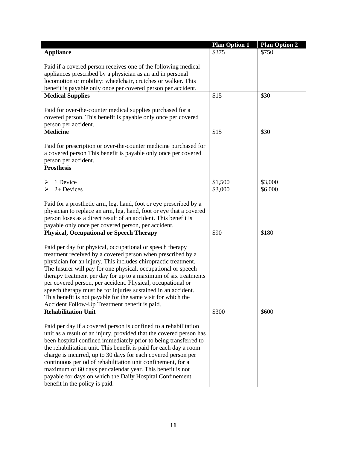| \$375<br><b>Appliance</b><br>\$750<br>Paid if a covered person receives one of the following medical<br>appliances prescribed by a physician as an aid in personal<br>locomotion or mobility: wheelchair, crutches or walker. This<br>benefit is payable only once per covered person per accident.<br>\$15<br><b>Medical Supplies</b><br>\$30<br>Paid for over-the-counter medical supplies purchased for a<br>covered person. This benefit is payable only once per covered<br>person per accident.<br><b>Medicine</b><br>\$15<br>\$30<br>Paid for prescription or over-the-counter medicine purchased for<br>a covered person This benefit is payable only once per covered<br>person per accident.<br><b>Prosthesis</b><br>\$3,000<br>1 Device<br>\$1,500<br>⋗<br>2+ Devices<br>\$3,000<br>\$6,000<br>⋗<br>Paid for a prosthetic arm, leg, hand, foot or eye prescribed by a<br>physician to replace an arm, leg, hand, foot or eye that a covered<br>person loses as a direct result of an accident. This benefit is<br>payable only once per covered person, per accident.<br><b>Physical, Occupational or Speech Therapy</b><br>\$90<br>\$180<br>Paid per day for physical, occupational or speech therapy<br>treatment received by a covered person when prescribed by a<br>physician for an injury. This includes chiropractic treatment.<br>The Insurer will pay for one physical, occupational or speech<br>therapy treatment per day for up to a maximum of six treatments<br>per covered person, per accident. Physical, occupational or<br>speech therapy must be for injuries sustained in an accident.<br>This benefit is not payable for the same visit for which the<br>Accident Follow-Up Treatment benefit is paid.<br><b>Rehabilitation Unit</b><br>\$300<br>\$600<br>Paid per day if a covered person is confined to a rehabilitation<br>unit as a result of an injury, provided that the covered person has<br>been hospital confined immediately prior to being transferred to<br>the rehabilitation unit. This benefit is paid for each day a room<br>charge is incurred, up to 30 days for each covered person per<br>continuous period of rehabilitation unit confinement, for a<br>maximum of 60 days per calendar year. This benefit is not<br>payable for days on which the Daily Hospital Confinement | <b>Plan Option 1</b> | <b>Plan Option 2</b> |
|--------------------------------------------------------------------------------------------------------------------------------------------------------------------------------------------------------------------------------------------------------------------------------------------------------------------------------------------------------------------------------------------------------------------------------------------------------------------------------------------------------------------------------------------------------------------------------------------------------------------------------------------------------------------------------------------------------------------------------------------------------------------------------------------------------------------------------------------------------------------------------------------------------------------------------------------------------------------------------------------------------------------------------------------------------------------------------------------------------------------------------------------------------------------------------------------------------------------------------------------------------------------------------------------------------------------------------------------------------------------------------------------------------------------------------------------------------------------------------------------------------------------------------------------------------------------------------------------------------------------------------------------------------------------------------------------------------------------------------------------------------------------------------------------------------------------------------------------------------------------------------------------------------------------------------------------------------------------------------------------------------------------------------------------------------------------------------------------------------------------------------------------------------------------------------------------------------------------------------------------------------------------------------------------------------------------------------------|----------------------|----------------------|
|                                                                                                                                                                                                                                                                                                                                                                                                                                                                                                                                                                                                                                                                                                                                                                                                                                                                                                                                                                                                                                                                                                                                                                                                                                                                                                                                                                                                                                                                                                                                                                                                                                                                                                                                                                                                                                                                                                                                                                                                                                                                                                                                                                                                                                                                                                                                      |                      |                      |
|                                                                                                                                                                                                                                                                                                                                                                                                                                                                                                                                                                                                                                                                                                                                                                                                                                                                                                                                                                                                                                                                                                                                                                                                                                                                                                                                                                                                                                                                                                                                                                                                                                                                                                                                                                                                                                                                                                                                                                                                                                                                                                                                                                                                                                                                                                                                      |                      |                      |
|                                                                                                                                                                                                                                                                                                                                                                                                                                                                                                                                                                                                                                                                                                                                                                                                                                                                                                                                                                                                                                                                                                                                                                                                                                                                                                                                                                                                                                                                                                                                                                                                                                                                                                                                                                                                                                                                                                                                                                                                                                                                                                                                                                                                                                                                                                                                      |                      |                      |
|                                                                                                                                                                                                                                                                                                                                                                                                                                                                                                                                                                                                                                                                                                                                                                                                                                                                                                                                                                                                                                                                                                                                                                                                                                                                                                                                                                                                                                                                                                                                                                                                                                                                                                                                                                                                                                                                                                                                                                                                                                                                                                                                                                                                                                                                                                                                      |                      |                      |
|                                                                                                                                                                                                                                                                                                                                                                                                                                                                                                                                                                                                                                                                                                                                                                                                                                                                                                                                                                                                                                                                                                                                                                                                                                                                                                                                                                                                                                                                                                                                                                                                                                                                                                                                                                                                                                                                                                                                                                                                                                                                                                                                                                                                                                                                                                                                      |                      |                      |
|                                                                                                                                                                                                                                                                                                                                                                                                                                                                                                                                                                                                                                                                                                                                                                                                                                                                                                                                                                                                                                                                                                                                                                                                                                                                                                                                                                                                                                                                                                                                                                                                                                                                                                                                                                                                                                                                                                                                                                                                                                                                                                                                                                                                                                                                                                                                      |                      |                      |
|                                                                                                                                                                                                                                                                                                                                                                                                                                                                                                                                                                                                                                                                                                                                                                                                                                                                                                                                                                                                                                                                                                                                                                                                                                                                                                                                                                                                                                                                                                                                                                                                                                                                                                                                                                                                                                                                                                                                                                                                                                                                                                                                                                                                                                                                                                                                      |                      |                      |
|                                                                                                                                                                                                                                                                                                                                                                                                                                                                                                                                                                                                                                                                                                                                                                                                                                                                                                                                                                                                                                                                                                                                                                                                                                                                                                                                                                                                                                                                                                                                                                                                                                                                                                                                                                                                                                                                                                                                                                                                                                                                                                                                                                                                                                                                                                                                      |                      |                      |
|                                                                                                                                                                                                                                                                                                                                                                                                                                                                                                                                                                                                                                                                                                                                                                                                                                                                                                                                                                                                                                                                                                                                                                                                                                                                                                                                                                                                                                                                                                                                                                                                                                                                                                                                                                                                                                                                                                                                                                                                                                                                                                                                                                                                                                                                                                                                      |                      |                      |
|                                                                                                                                                                                                                                                                                                                                                                                                                                                                                                                                                                                                                                                                                                                                                                                                                                                                                                                                                                                                                                                                                                                                                                                                                                                                                                                                                                                                                                                                                                                                                                                                                                                                                                                                                                                                                                                                                                                                                                                                                                                                                                                                                                                                                                                                                                                                      |                      |                      |
|                                                                                                                                                                                                                                                                                                                                                                                                                                                                                                                                                                                                                                                                                                                                                                                                                                                                                                                                                                                                                                                                                                                                                                                                                                                                                                                                                                                                                                                                                                                                                                                                                                                                                                                                                                                                                                                                                                                                                                                                                                                                                                                                                                                                                                                                                                                                      |                      |                      |
|                                                                                                                                                                                                                                                                                                                                                                                                                                                                                                                                                                                                                                                                                                                                                                                                                                                                                                                                                                                                                                                                                                                                                                                                                                                                                                                                                                                                                                                                                                                                                                                                                                                                                                                                                                                                                                                                                                                                                                                                                                                                                                                                                                                                                                                                                                                                      |                      |                      |
|                                                                                                                                                                                                                                                                                                                                                                                                                                                                                                                                                                                                                                                                                                                                                                                                                                                                                                                                                                                                                                                                                                                                                                                                                                                                                                                                                                                                                                                                                                                                                                                                                                                                                                                                                                                                                                                                                                                                                                                                                                                                                                                                                                                                                                                                                                                                      |                      |                      |
|                                                                                                                                                                                                                                                                                                                                                                                                                                                                                                                                                                                                                                                                                                                                                                                                                                                                                                                                                                                                                                                                                                                                                                                                                                                                                                                                                                                                                                                                                                                                                                                                                                                                                                                                                                                                                                                                                                                                                                                                                                                                                                                                                                                                                                                                                                                                      |                      |                      |
|                                                                                                                                                                                                                                                                                                                                                                                                                                                                                                                                                                                                                                                                                                                                                                                                                                                                                                                                                                                                                                                                                                                                                                                                                                                                                                                                                                                                                                                                                                                                                                                                                                                                                                                                                                                                                                                                                                                                                                                                                                                                                                                                                                                                                                                                                                                                      |                      |                      |
|                                                                                                                                                                                                                                                                                                                                                                                                                                                                                                                                                                                                                                                                                                                                                                                                                                                                                                                                                                                                                                                                                                                                                                                                                                                                                                                                                                                                                                                                                                                                                                                                                                                                                                                                                                                                                                                                                                                                                                                                                                                                                                                                                                                                                                                                                                                                      |                      |                      |
|                                                                                                                                                                                                                                                                                                                                                                                                                                                                                                                                                                                                                                                                                                                                                                                                                                                                                                                                                                                                                                                                                                                                                                                                                                                                                                                                                                                                                                                                                                                                                                                                                                                                                                                                                                                                                                                                                                                                                                                                                                                                                                                                                                                                                                                                                                                                      |                      |                      |
|                                                                                                                                                                                                                                                                                                                                                                                                                                                                                                                                                                                                                                                                                                                                                                                                                                                                                                                                                                                                                                                                                                                                                                                                                                                                                                                                                                                                                                                                                                                                                                                                                                                                                                                                                                                                                                                                                                                                                                                                                                                                                                                                                                                                                                                                                                                                      |                      |                      |
|                                                                                                                                                                                                                                                                                                                                                                                                                                                                                                                                                                                                                                                                                                                                                                                                                                                                                                                                                                                                                                                                                                                                                                                                                                                                                                                                                                                                                                                                                                                                                                                                                                                                                                                                                                                                                                                                                                                                                                                                                                                                                                                                                                                                                                                                                                                                      |                      |                      |
|                                                                                                                                                                                                                                                                                                                                                                                                                                                                                                                                                                                                                                                                                                                                                                                                                                                                                                                                                                                                                                                                                                                                                                                                                                                                                                                                                                                                                                                                                                                                                                                                                                                                                                                                                                                                                                                                                                                                                                                                                                                                                                                                                                                                                                                                                                                                      |                      |                      |
|                                                                                                                                                                                                                                                                                                                                                                                                                                                                                                                                                                                                                                                                                                                                                                                                                                                                                                                                                                                                                                                                                                                                                                                                                                                                                                                                                                                                                                                                                                                                                                                                                                                                                                                                                                                                                                                                                                                                                                                                                                                                                                                                                                                                                                                                                                                                      |                      |                      |
|                                                                                                                                                                                                                                                                                                                                                                                                                                                                                                                                                                                                                                                                                                                                                                                                                                                                                                                                                                                                                                                                                                                                                                                                                                                                                                                                                                                                                                                                                                                                                                                                                                                                                                                                                                                                                                                                                                                                                                                                                                                                                                                                                                                                                                                                                                                                      |                      |                      |
|                                                                                                                                                                                                                                                                                                                                                                                                                                                                                                                                                                                                                                                                                                                                                                                                                                                                                                                                                                                                                                                                                                                                                                                                                                                                                                                                                                                                                                                                                                                                                                                                                                                                                                                                                                                                                                                                                                                                                                                                                                                                                                                                                                                                                                                                                                                                      |                      |                      |
|                                                                                                                                                                                                                                                                                                                                                                                                                                                                                                                                                                                                                                                                                                                                                                                                                                                                                                                                                                                                                                                                                                                                                                                                                                                                                                                                                                                                                                                                                                                                                                                                                                                                                                                                                                                                                                                                                                                                                                                                                                                                                                                                                                                                                                                                                                                                      |                      |                      |
|                                                                                                                                                                                                                                                                                                                                                                                                                                                                                                                                                                                                                                                                                                                                                                                                                                                                                                                                                                                                                                                                                                                                                                                                                                                                                                                                                                                                                                                                                                                                                                                                                                                                                                                                                                                                                                                                                                                                                                                                                                                                                                                                                                                                                                                                                                                                      |                      |                      |
|                                                                                                                                                                                                                                                                                                                                                                                                                                                                                                                                                                                                                                                                                                                                                                                                                                                                                                                                                                                                                                                                                                                                                                                                                                                                                                                                                                                                                                                                                                                                                                                                                                                                                                                                                                                                                                                                                                                                                                                                                                                                                                                                                                                                                                                                                                                                      |                      |                      |
|                                                                                                                                                                                                                                                                                                                                                                                                                                                                                                                                                                                                                                                                                                                                                                                                                                                                                                                                                                                                                                                                                                                                                                                                                                                                                                                                                                                                                                                                                                                                                                                                                                                                                                                                                                                                                                                                                                                                                                                                                                                                                                                                                                                                                                                                                                                                      |                      |                      |
|                                                                                                                                                                                                                                                                                                                                                                                                                                                                                                                                                                                                                                                                                                                                                                                                                                                                                                                                                                                                                                                                                                                                                                                                                                                                                                                                                                                                                                                                                                                                                                                                                                                                                                                                                                                                                                                                                                                                                                                                                                                                                                                                                                                                                                                                                                                                      |                      |                      |
|                                                                                                                                                                                                                                                                                                                                                                                                                                                                                                                                                                                                                                                                                                                                                                                                                                                                                                                                                                                                                                                                                                                                                                                                                                                                                                                                                                                                                                                                                                                                                                                                                                                                                                                                                                                                                                                                                                                                                                                                                                                                                                                                                                                                                                                                                                                                      |                      |                      |
|                                                                                                                                                                                                                                                                                                                                                                                                                                                                                                                                                                                                                                                                                                                                                                                                                                                                                                                                                                                                                                                                                                                                                                                                                                                                                                                                                                                                                                                                                                                                                                                                                                                                                                                                                                                                                                                                                                                                                                                                                                                                                                                                                                                                                                                                                                                                      |                      |                      |
|                                                                                                                                                                                                                                                                                                                                                                                                                                                                                                                                                                                                                                                                                                                                                                                                                                                                                                                                                                                                                                                                                                                                                                                                                                                                                                                                                                                                                                                                                                                                                                                                                                                                                                                                                                                                                                                                                                                                                                                                                                                                                                                                                                                                                                                                                                                                      |                      |                      |
|                                                                                                                                                                                                                                                                                                                                                                                                                                                                                                                                                                                                                                                                                                                                                                                                                                                                                                                                                                                                                                                                                                                                                                                                                                                                                                                                                                                                                                                                                                                                                                                                                                                                                                                                                                                                                                                                                                                                                                                                                                                                                                                                                                                                                                                                                                                                      |                      |                      |
|                                                                                                                                                                                                                                                                                                                                                                                                                                                                                                                                                                                                                                                                                                                                                                                                                                                                                                                                                                                                                                                                                                                                                                                                                                                                                                                                                                                                                                                                                                                                                                                                                                                                                                                                                                                                                                                                                                                                                                                                                                                                                                                                                                                                                                                                                                                                      |                      |                      |
|                                                                                                                                                                                                                                                                                                                                                                                                                                                                                                                                                                                                                                                                                                                                                                                                                                                                                                                                                                                                                                                                                                                                                                                                                                                                                                                                                                                                                                                                                                                                                                                                                                                                                                                                                                                                                                                                                                                                                                                                                                                                                                                                                                                                                                                                                                                                      |                      |                      |
|                                                                                                                                                                                                                                                                                                                                                                                                                                                                                                                                                                                                                                                                                                                                                                                                                                                                                                                                                                                                                                                                                                                                                                                                                                                                                                                                                                                                                                                                                                                                                                                                                                                                                                                                                                                                                                                                                                                                                                                                                                                                                                                                                                                                                                                                                                                                      |                      |                      |
|                                                                                                                                                                                                                                                                                                                                                                                                                                                                                                                                                                                                                                                                                                                                                                                                                                                                                                                                                                                                                                                                                                                                                                                                                                                                                                                                                                                                                                                                                                                                                                                                                                                                                                                                                                                                                                                                                                                                                                                                                                                                                                                                                                                                                                                                                                                                      |                      |                      |
|                                                                                                                                                                                                                                                                                                                                                                                                                                                                                                                                                                                                                                                                                                                                                                                                                                                                                                                                                                                                                                                                                                                                                                                                                                                                                                                                                                                                                                                                                                                                                                                                                                                                                                                                                                                                                                                                                                                                                                                                                                                                                                                                                                                                                                                                                                                                      |                      |                      |
|                                                                                                                                                                                                                                                                                                                                                                                                                                                                                                                                                                                                                                                                                                                                                                                                                                                                                                                                                                                                                                                                                                                                                                                                                                                                                                                                                                                                                                                                                                                                                                                                                                                                                                                                                                                                                                                                                                                                                                                                                                                                                                                                                                                                                                                                                                                                      |                      |                      |
|                                                                                                                                                                                                                                                                                                                                                                                                                                                                                                                                                                                                                                                                                                                                                                                                                                                                                                                                                                                                                                                                                                                                                                                                                                                                                                                                                                                                                                                                                                                                                                                                                                                                                                                                                                                                                                                                                                                                                                                                                                                                                                                                                                                                                                                                                                                                      |                      |                      |
|                                                                                                                                                                                                                                                                                                                                                                                                                                                                                                                                                                                                                                                                                                                                                                                                                                                                                                                                                                                                                                                                                                                                                                                                                                                                                                                                                                                                                                                                                                                                                                                                                                                                                                                                                                                                                                                                                                                                                                                                                                                                                                                                                                                                                                                                                                                                      |                      |                      |
|                                                                                                                                                                                                                                                                                                                                                                                                                                                                                                                                                                                                                                                                                                                                                                                                                                                                                                                                                                                                                                                                                                                                                                                                                                                                                                                                                                                                                                                                                                                                                                                                                                                                                                                                                                                                                                                                                                                                                                                                                                                                                                                                                                                                                                                                                                                                      |                      |                      |
|                                                                                                                                                                                                                                                                                                                                                                                                                                                                                                                                                                                                                                                                                                                                                                                                                                                                                                                                                                                                                                                                                                                                                                                                                                                                                                                                                                                                                                                                                                                                                                                                                                                                                                                                                                                                                                                                                                                                                                                                                                                                                                                                                                                                                                                                                                                                      |                      |                      |
|                                                                                                                                                                                                                                                                                                                                                                                                                                                                                                                                                                                                                                                                                                                                                                                                                                                                                                                                                                                                                                                                                                                                                                                                                                                                                                                                                                                                                                                                                                                                                                                                                                                                                                                                                                                                                                                                                                                                                                                                                                                                                                                                                                                                                                                                                                                                      |                      |                      |
|                                                                                                                                                                                                                                                                                                                                                                                                                                                                                                                                                                                                                                                                                                                                                                                                                                                                                                                                                                                                                                                                                                                                                                                                                                                                                                                                                                                                                                                                                                                                                                                                                                                                                                                                                                                                                                                                                                                                                                                                                                                                                                                                                                                                                                                                                                                                      |                      |                      |
|                                                                                                                                                                                                                                                                                                                                                                                                                                                                                                                                                                                                                                                                                                                                                                                                                                                                                                                                                                                                                                                                                                                                                                                                                                                                                                                                                                                                                                                                                                                                                                                                                                                                                                                                                                                                                                                                                                                                                                                                                                                                                                                                                                                                                                                                                                                                      |                      |                      |
|                                                                                                                                                                                                                                                                                                                                                                                                                                                                                                                                                                                                                                                                                                                                                                                                                                                                                                                                                                                                                                                                                                                                                                                                                                                                                                                                                                                                                                                                                                                                                                                                                                                                                                                                                                                                                                                                                                                                                                                                                                                                                                                                                                                                                                                                                                                                      |                      |                      |
| benefit in the policy is paid.                                                                                                                                                                                                                                                                                                                                                                                                                                                                                                                                                                                                                                                                                                                                                                                                                                                                                                                                                                                                                                                                                                                                                                                                                                                                                                                                                                                                                                                                                                                                                                                                                                                                                                                                                                                                                                                                                                                                                                                                                                                                                                                                                                                                                                                                                                       |                      |                      |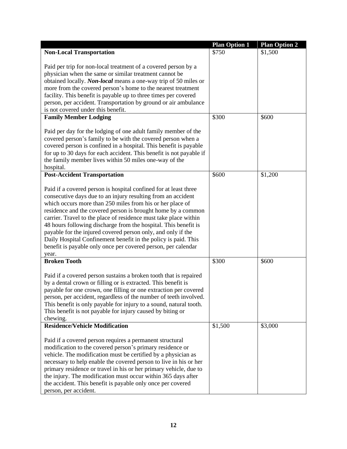|                                                                                                                                                                                                                                                                                                                                                                                                                                                                                                                                                                                                                  | <b>Plan Option 1</b> | <b>Plan Option 2</b> |
|------------------------------------------------------------------------------------------------------------------------------------------------------------------------------------------------------------------------------------------------------------------------------------------------------------------------------------------------------------------------------------------------------------------------------------------------------------------------------------------------------------------------------------------------------------------------------------------------------------------|----------------------|----------------------|
| <b>Non-Local Transportation</b>                                                                                                                                                                                                                                                                                                                                                                                                                                                                                                                                                                                  | \$750                | \$1,500              |
| Paid per trip for non-local treatment of a covered person by a<br>physician when the same or similar treatment cannot be<br>obtained locally. Non-local means a one-way trip of 50 miles or<br>more from the covered person's home to the nearest treatment<br>facility. This benefit is payable up to three times per covered<br>person, per accident. Transportation by ground or air ambulance<br>is not covered under this benefit.                                                                                                                                                                          |                      |                      |
| <b>Family Member Lodging</b>                                                                                                                                                                                                                                                                                                                                                                                                                                                                                                                                                                                     | \$300                | \$600                |
| Paid per day for the lodging of one adult family member of the<br>covered person's family to be with the covered person when a<br>covered person is confined in a hospital. This benefit is payable<br>for up to 30 days for each accident. This benefit is not payable if<br>the family member lives within 50 miles one-way of the<br>hospital.                                                                                                                                                                                                                                                                |                      |                      |
| <b>Post-Accident Transportation</b>                                                                                                                                                                                                                                                                                                                                                                                                                                                                                                                                                                              | \$600                | \$1,200              |
| Paid if a covered person is hospital confined for at least three<br>consecutive days due to an injury resulting from an accident<br>which occurs more than 250 miles from his or her place of<br>residence and the covered person is brought home by a common<br>carrier. Travel to the place of residence must take place within<br>48 hours following discharge from the hospital. This benefit is<br>payable for the injured covered person only, and only if the<br>Daily Hospital Confinement benefit in the policy is paid. This<br>benefit is payable only once per covered person, per calendar<br>year. |                      |                      |
| <b>Broken Tooth</b>                                                                                                                                                                                                                                                                                                                                                                                                                                                                                                                                                                                              | \$300                | \$600                |
| Paid if a covered person sustains a broken tooth that is repaired<br>by a dental crown or filling or is extracted. This benefit is<br>payable for one crown, one filling or one extraction per covered<br>person, per accident, regardless of the number of teeth involved.<br>This benefit is only payable for injury to a sound, natural tooth.<br>This benefit is not payable for injury caused by biting or<br>chewing.                                                                                                                                                                                      |                      |                      |
| <b>Residence/Vehicle Modification</b>                                                                                                                                                                                                                                                                                                                                                                                                                                                                                                                                                                            | \$1,500              | \$3,000              |
| Paid if a covered person requires a permanent structural<br>modification to the covered person's primary residence or<br>vehicle. The modification must be certified by a physician as<br>necessary to help enable the covered person to live in his or her<br>primary residence or travel in his or her primary vehicle, due to<br>the injury. The modification must occur within 365 days after<br>the accident. This benefit is payable only once per covered<br>person, per accident.                                                                                                                        |                      |                      |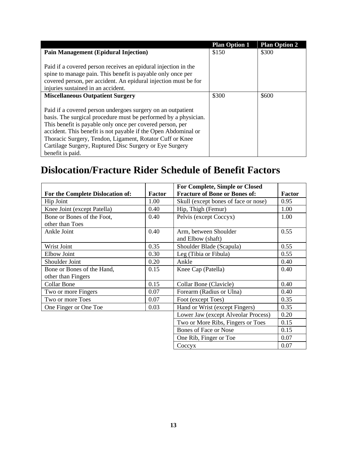|                                                                 | <b>Plan Option 1</b> | <b>Plan Option 2</b> |
|-----------------------------------------------------------------|----------------------|----------------------|
| <b>Pain Management (Epidural Injection)</b>                     | \$150                | \$300                |
|                                                                 |                      |                      |
| Paid if a covered person receives an epidural injection in the  |                      |                      |
| spine to manage pain. This benefit is payable only once per     |                      |                      |
| covered person, per accident. An epidural injection must be for |                      |                      |
| injuries sustained in an accident.                              |                      |                      |
| <b>Miscellaneous Outpatient Surgery</b>                         | \$300                | \$600                |
|                                                                 |                      |                      |
| Paid if a covered person undergoes surgery on an outpatient     |                      |                      |
| basis. The surgical procedure must be performed by a physician. |                      |                      |
| This benefit is payable only once per covered person, per       |                      |                      |
| accident. This benefit is not payable if the Open Abdominal or  |                      |                      |
| Thoracic Surgery, Tendon, Ligament, Rotator Cuff or Knee        |                      |                      |
| Cartilage Surgery, Ruptured Disc Surgery or Eye Surgery         |                      |                      |
| benefit is paid.                                                |                      |                      |

### <span id="page-17-0"></span>**Dislocation/Fracture Rider Schedule of Benefit Factors**

|                                  |               | For Complete, Simple or Closed       |        |
|----------------------------------|---------------|--------------------------------------|--------|
| For the Complete Dislocation of: | <b>Factor</b> | <b>Fracture of Bone or Bones of:</b> | Factor |
| Hip Joint                        | 1.00          | Skull (except bones of face or nose) | 0.95   |
| Knee Joint (except Patella)      | 0.40          | Hip, Thigh (Femur)                   | 1.00   |
| Bone or Bones of the Foot,       | 0.40          | Pelvis (except Coccyx)               | 1.00   |
| other than Toes                  |               |                                      |        |
| Ankle Joint                      | 0.40          | Arm, between Shoulder                | 0.55   |
|                                  |               | and Elbow (shaft)                    |        |
| Wrist Joint                      | 0.35          | Shoulder Blade (Scapula)             | 0.55   |
| Elbow Joint                      | 0.30          | Leg (Tibia or Fibula)                | 0.55   |
| Shoulder Joint                   | 0.20          | Ankle                                | 0.40   |
| Bone or Bones of the Hand,       | 0.15          | Knee Cap (Patella)                   | 0.40   |
| other than Fingers               |               |                                      |        |
| Collar Bone                      | 0.15          | Collar Bone (Clavicle)               | 0.40   |
| Two or more Fingers              | 0.07          | Forearm (Radius or Ulna)             | 0.40   |
| Two or more Toes                 | 0.07          | Foot (except Toes)                   | 0.35   |
| One Finger or One Toe            | 0.03          | Hand or Wrist (except Fingers)       | 0.35   |
|                                  |               | Lower Jaw (except Alveolar Process)  | 0.20   |
|                                  |               | Two or More Ribs, Fingers or Toes    | 0.15   |
|                                  |               | <b>Bones of Face or Nose</b>         | 0.15   |
|                                  |               | One Rib, Finger or Toe               | 0.07   |
|                                  |               | Coccyx                               | 0.07   |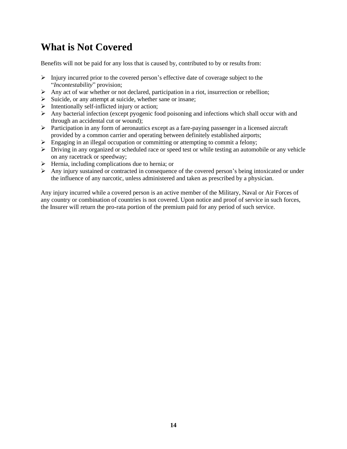### <span id="page-18-0"></span>**What is Not Covered**

Benefits will not be paid for any loss that is caused by, contributed to by or results from:

- $\triangleright$  Injury incurred prior to the covered person's effective date of coverage subject to the "*Incontestability*" provision;
- $\triangleright$  Any act of war whether or not declared, participation in a riot, insurrection or rebellion;
- ➢ Suicide, or any attempt at suicide, whether sane or insane;
- $\triangleright$  Intentionally self-inflicted injury or action;
- $\triangleright$  Any bacterial infection (except pyogenic food poisoning and infections which shall occur with and through an accidental cut or wound);
- ➢ Participation in any form of aeronautics except as a fare-paying passenger in a licensed aircraft provided by a common carrier and operating between definitely established airports;
- ➢ Engaging in an illegal occupation or committing or attempting to commit a felony;
- ➢ Driving in any organized or scheduled race or speed test or while testing an automobile or any vehicle on any racetrack or speedway;
- $\triangleright$  Hernia, including complications due to hernia; or
- ➢ Any injury sustained or contracted in consequence of the covered person's being intoxicated or under the influence of any narcotic, unless administered and taken as prescribed by a physician.

Any injury incurred while a covered person is an active member of the Military, Naval or Air Forces of any country or combination of countries is not covered. Upon notice and proof of service in such forces, the Insurer will return the pro-rata portion of the premium paid for any period of such service.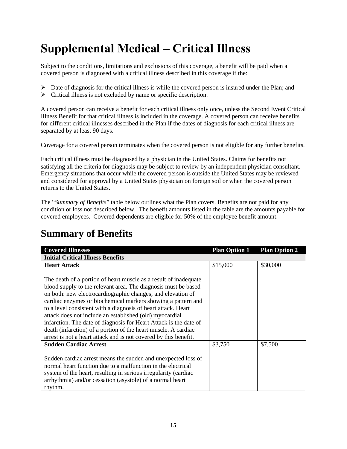# <span id="page-19-0"></span>**Supplemental Medical – Critical Illness**

Subject to the conditions, limitations and exclusions of this coverage, a benefit will be paid when a covered person is diagnosed with a critical illness described in this coverage if the:

- $\triangleright$  Date of diagnosis for the critical illness is while the covered person is insured under the Plan; and
- $\triangleright$  Critical illness is not excluded by name or specific description.

A covered person can receive a benefit for each critical illness only once, unless the Second Event Critical Illness Benefit for that critical illness is included in the coverage. A covered person can receive benefits for different critical illnesses described in the Plan if the dates of diagnosis for each critical illness are separated by at least 90 days.

Coverage for a covered person terminates when the covered person is not eligible for any further benefits.

Each critical illness must be diagnosed by a physician in the United States. Claims for benefits not satisfying all the criteria for diagnosis may be subject to review by an independent physician consultant. Emergency situations that occur while the covered person is outside the United States may be reviewed and considered for approval by a United States physician on foreign soil or when the covered person returns to the United States.

The "*Summary of Benefits*" table below outlines what the Plan covers. Benefits are not paid for any condition or loss not described below. The benefit amounts listed in the table are the amounts payable for covered employees. Covered dependents are eligible for 50% of the employee benefit amount.

| <b>Covered Illnesses</b>                                                                                                                                                                                                                                                                                                                                                                                                                                                                                                                                                                                 | <b>Plan Option 1</b> | <b>Plan Option 2</b> |
|----------------------------------------------------------------------------------------------------------------------------------------------------------------------------------------------------------------------------------------------------------------------------------------------------------------------------------------------------------------------------------------------------------------------------------------------------------------------------------------------------------------------------------------------------------------------------------------------------------|----------------------|----------------------|
| <b>Initial Critical Illness Benefits</b>                                                                                                                                                                                                                                                                                                                                                                                                                                                                                                                                                                 |                      |                      |
| <b>Heart Attack</b>                                                                                                                                                                                                                                                                                                                                                                                                                                                                                                                                                                                      | \$15,000             | \$30,000             |
| The death of a portion of heart muscle as a result of inadequate<br>blood supply to the relevant area. The diagnosis must be based<br>on both: new electrocardiographic changes; and elevation of<br>cardiac enzymes or biochemical markers showing a pattern and<br>to a level consistent with a diagnosis of heart attack. Heart<br>attack does not include an established (old) myocardial<br>infarction. The date of diagnosis for Heart Attack is the date of<br>death (infarction) of a portion of the heart muscle. A cardiac<br>arrest is not a heart attack and is not covered by this benefit. |                      |                      |
| <b>Sudden Cardiac Arrest</b>                                                                                                                                                                                                                                                                                                                                                                                                                                                                                                                                                                             | \$3,750              | \$7,500              |
| Sudden cardiac arrest means the sudden and unexpected loss of<br>normal heart function due to a malfunction in the electrical<br>system of the heart, resulting in serious irregularity (cardiac<br>arrhythmia) and/or cessation (asystole) of a normal heart<br>rhythm.                                                                                                                                                                                                                                                                                                                                 |                      |                      |

### <span id="page-19-1"></span>**Summary of Benefits**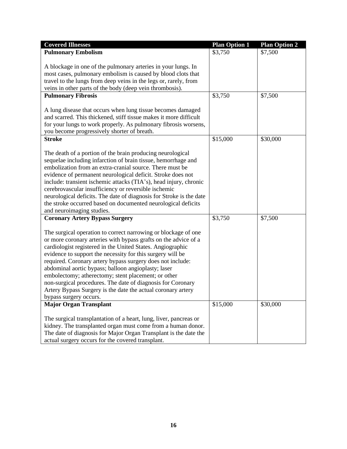| <b>Covered Illnesses</b>                                                                                                                                                                                                                                                                                                                                                                                                                                                                                                                                                                           | <b>Plan Option 1</b> | <b>Plan Option 2</b> |
|----------------------------------------------------------------------------------------------------------------------------------------------------------------------------------------------------------------------------------------------------------------------------------------------------------------------------------------------------------------------------------------------------------------------------------------------------------------------------------------------------------------------------------------------------------------------------------------------------|----------------------|----------------------|
| <b>Pulmonary Embolism</b>                                                                                                                                                                                                                                                                                                                                                                                                                                                                                                                                                                          | \$3,750              | \$7,500              |
| A blockage in one of the pulmonary arteries in your lungs. In<br>most cases, pulmonary embolism is caused by blood clots that<br>travel to the lungs from deep veins in the legs or, rarely, from<br>veins in other parts of the body (deep vein thrombosis).                                                                                                                                                                                                                                                                                                                                      |                      |                      |
| <b>Pulmonary Fibrosis</b>                                                                                                                                                                                                                                                                                                                                                                                                                                                                                                                                                                          | \$3,750              | \$7,500              |
| A lung disease that occurs when lung tissue becomes damaged<br>and scarred. This thickened, stiff tissue makes it more difficult<br>for your lungs to work properly. As pulmonary fibrosis worsens,<br>you become progressively shorter of breath.                                                                                                                                                                                                                                                                                                                                                 |                      |                      |
| <b>Stroke</b>                                                                                                                                                                                                                                                                                                                                                                                                                                                                                                                                                                                      | \$15,000             | \$30,000             |
| The death of a portion of the brain producing neurological<br>sequelae including infarction of brain tissue, hemorrhage and<br>embolization from an extra-cranial source. There must be<br>evidence of permanent neurological deficit. Stroke does not<br>include: transient ischemic attacks (TIA's), head injury, chronic<br>cerebrovascular insufficiency or reversible ischemic<br>neurological deficits. The date of diagnosis for Stroke is the date<br>the stroke occurred based on documented neurological deficits<br>and neuroimaging studies.                                           |                      |                      |
| <b>Coronary Artery Bypass Surgery</b>                                                                                                                                                                                                                                                                                                                                                                                                                                                                                                                                                              | \$3,750              | \$7,500              |
| The surgical operation to correct narrowing or blockage of one<br>or more coronary arteries with bypass grafts on the advice of a<br>cardiologist registered in the United States. Angiographic<br>evidence to support the necessity for this surgery will be<br>required. Coronary artery bypass surgery does not include:<br>abdominal aortic bypass; balloon angioplasty; laser<br>embolectomy; atherectomy; stent placement; or other<br>non-surgical procedures. The date of diagnosis for Coronary<br>Artery Bypass Surgery is the date the actual coronary artery<br>bypass surgery occurs. |                      |                      |
| <b>Major Organ Transplant</b>                                                                                                                                                                                                                                                                                                                                                                                                                                                                                                                                                                      | \$15,000             | \$30,000             |
| The surgical transplantation of a heart, lung, liver, pancreas or<br>kidney. The transplanted organ must come from a human donor.<br>The date of diagnosis for Major Organ Transplant is the date the<br>actual surgery occurs for the covered transplant.                                                                                                                                                                                                                                                                                                                                         |                      |                      |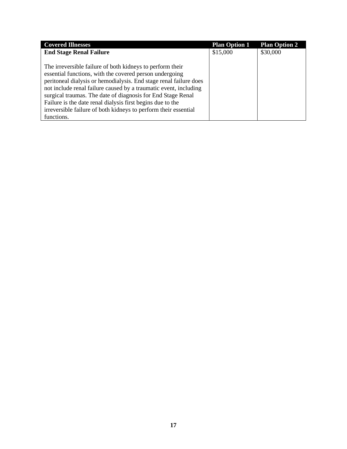| <b>Covered Illnesses</b>                                                                                                                                                                                                                                                                                                                                                                                                                                                    | <b>Plan Option 1</b> | <b>Plan Option 2</b> |
|-----------------------------------------------------------------------------------------------------------------------------------------------------------------------------------------------------------------------------------------------------------------------------------------------------------------------------------------------------------------------------------------------------------------------------------------------------------------------------|----------------------|----------------------|
| <b>End Stage Renal Failure</b>                                                                                                                                                                                                                                                                                                                                                                                                                                              | \$15,000             | \$30,000             |
| The irreversible failure of both kidneys to perform their<br>essential functions, with the covered person undergoing<br>peritoneal dialysis or hemodialysis. End stage renal failure does<br>not include renal failure caused by a traumatic event, including<br>surgical traumas. The date of diagnosis for End Stage Renal<br>Failure is the date renal dialysis first begins due to the<br>irreversible failure of both kidneys to perform their essential<br>functions. |                      |                      |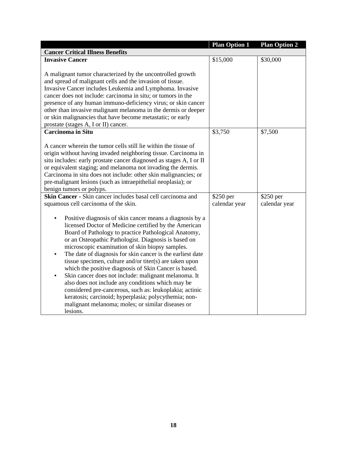|                                                                                                                                                                                                                                                                                                                                                                                                                                                                                                                                                                                                                                                                                                                                                                                       | <b>Plan Option 1</b> | <b>Plan Option 2</b> |
|---------------------------------------------------------------------------------------------------------------------------------------------------------------------------------------------------------------------------------------------------------------------------------------------------------------------------------------------------------------------------------------------------------------------------------------------------------------------------------------------------------------------------------------------------------------------------------------------------------------------------------------------------------------------------------------------------------------------------------------------------------------------------------------|----------------------|----------------------|
| <b>Cancer Critical Illness Benefits</b>                                                                                                                                                                                                                                                                                                                                                                                                                                                                                                                                                                                                                                                                                                                                               |                      |                      |
| <b>Invasive Cancer</b>                                                                                                                                                                                                                                                                                                                                                                                                                                                                                                                                                                                                                                                                                                                                                                | \$15,000             | \$30,000             |
| A malignant tumor characterized by the uncontrolled growth<br>and spread of malignant cells and the invasion of tissue.<br>Invasive Cancer includes Leukemia and Lymphoma. Invasive<br>cancer does not include: carcinoma in situ; or tumors in the<br>presence of any human immuno-deficiency virus; or skin cancer<br>other than invasive malignant melanoma in the dermis or deeper<br>or skin malignancies that have become metastatic; or early<br>prostate (stages A, I or II) cancer.                                                                                                                                                                                                                                                                                          |                      |                      |
| <b>Carcinoma in Situ</b>                                                                                                                                                                                                                                                                                                                                                                                                                                                                                                                                                                                                                                                                                                                                                              | \$3,750              | \$7,500              |
| A cancer wherein the tumor cells still lie within the tissue of<br>origin without having invaded neighboring tissue. Carcinoma in<br>situ includes: early prostate cancer diagnosed as stages A, I or II<br>or equivalent staging; and melanoma not invading the dermis.<br>Carcinoma in situ does not include: other skin malignancies; or<br>pre-malignant lesions (such as intraepithelial neoplasia); or<br>benign tumors or polyps.                                                                                                                                                                                                                                                                                                                                              |                      |                      |
| Skin Cancer - Skin cancer includes basal cell carcinoma and                                                                                                                                                                                                                                                                                                                                                                                                                                                                                                                                                                                                                                                                                                                           | \$250 per            | $$250$ per           |
| squamous cell carcinoma of the skin.                                                                                                                                                                                                                                                                                                                                                                                                                                                                                                                                                                                                                                                                                                                                                  | calendar year        | calendar year        |
| Positive diagnosis of skin cancer means a diagnosis by a<br>$\bullet$<br>licensed Doctor of Medicine certified by the American<br>Board of Pathology to practice Pathological Anatomy,<br>or an Osteopathic Pathologist. Diagnosis is based on<br>microscopic examination of skin biopsy samples.<br>The date of diagnosis for skin cancer is the earliest date<br>tissue specimen, culture and/or titer(s) are taken upon<br>which the positive diagnosis of Skin Cancer is based.<br>Skin cancer does not include: malignant melanoma. It<br>also does not include any conditions which may be<br>considered pre-cancerous, such as: leukoplakia; actinic<br>keratosis; carcinoid; hyperplasia; polycythemia; non-<br>malignant melanoma; moles; or similar diseases or<br>lesions. |                      |                      |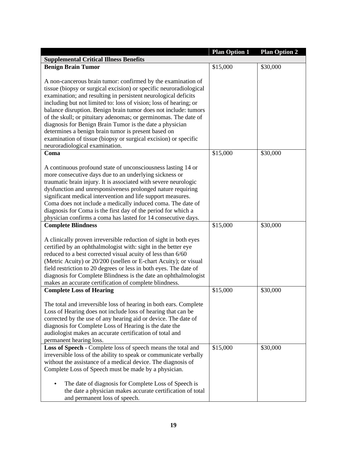|                                                                                                                                                                                                                                                                                                                                                                                                                                                                                                                                                                                                                                                                                                                                                                                                                                                                                                                                                                       | <b>Plan Option 1</b> | <b>Plan Option 2</b> |  |  |
|-----------------------------------------------------------------------------------------------------------------------------------------------------------------------------------------------------------------------------------------------------------------------------------------------------------------------------------------------------------------------------------------------------------------------------------------------------------------------------------------------------------------------------------------------------------------------------------------------------------------------------------------------------------------------------------------------------------------------------------------------------------------------------------------------------------------------------------------------------------------------------------------------------------------------------------------------------------------------|----------------------|----------------------|--|--|
| <b>Supplemental Critical Illness Benefits</b>                                                                                                                                                                                                                                                                                                                                                                                                                                                                                                                                                                                                                                                                                                                                                                                                                                                                                                                         |                      |                      |  |  |
| <b>Benign Brain Tumor</b>                                                                                                                                                                                                                                                                                                                                                                                                                                                                                                                                                                                                                                                                                                                                                                                                                                                                                                                                             | \$15,000             | \$30,000             |  |  |
| A non-cancerous brain tumor: confirmed by the examination of<br>tissue (biopsy or surgical excision) or specific neuroradiological<br>examination; and resulting in persistent neurological deficits<br>including but not limited to: loss of vision; loss of hearing; or<br>balance disruption. Benign brain tumor does not include: tumors<br>of the skull; or pituitary adenomas; or germinomas. The date of<br>diagnosis for Benign Brain Tumor is the date a physician<br>determines a benign brain tumor is present based on<br>examination of tissue (biopsy or surgical excision) or specific<br>neuroradiological examination.                                                                                                                                                                                                                                                                                                                               |                      |                      |  |  |
| Coma                                                                                                                                                                                                                                                                                                                                                                                                                                                                                                                                                                                                                                                                                                                                                                                                                                                                                                                                                                  | \$15,000             | \$30,000             |  |  |
| A continuous profound state of unconsciousness lasting 14 or<br>more consecutive days due to an underlying sickness or<br>traumatic brain injury. It is associated with severe neurologic<br>dysfunction and unresponsiveness prolonged nature requiring<br>significant medical intervention and life support measures.<br>Coma does not include a medically induced coma. The date of<br>diagnosis for Coma is the first day of the period for which a<br>physician confirms a coma has lasted for 14 consecutive days.<br><b>Complete Blindness</b><br>A clinically proven irreversible reduction of sight in both eyes<br>certified by an ophthalmologist with: sight in the better eye<br>reduced to a best corrected visual acuity of less than 6/60<br>(Metric Acuity) or 20/200 (snellen or E-chart Acuity); or visual<br>field restriction to 20 degrees or less in both eyes. The date of<br>diagnosis for Complete Blindness is the date an ophthalmologist | \$15,000             | \$30,000             |  |  |
| makes an accurate certification of complete blindness.<br><b>Complete Loss of Hearing</b>                                                                                                                                                                                                                                                                                                                                                                                                                                                                                                                                                                                                                                                                                                                                                                                                                                                                             | \$15,000             | \$30,000             |  |  |
| The total and irreversible loss of hearing in both ears. Complete<br>Loss of Hearing does not include loss of hearing that can be<br>corrected by the use of any hearing aid or device. The date of<br>diagnosis for Complete Loss of Hearing is the date the<br>audiologist makes an accurate certification of total and<br>permanent hearing loss.                                                                                                                                                                                                                                                                                                                                                                                                                                                                                                                                                                                                                  |                      |                      |  |  |
| Loss of Speech - Complete loss of speech means the total and<br>irreversible loss of the ability to speak or communicate verbally<br>without the assistance of a medical device. The diagnosis of<br>Complete Loss of Speech must be made by a physician.<br>The date of diagnosis for Complete Loss of Speech is<br>the date a physician makes accurate certification of total<br>and permanent loss of speech.                                                                                                                                                                                                                                                                                                                                                                                                                                                                                                                                                      | \$15,000             | \$30,000             |  |  |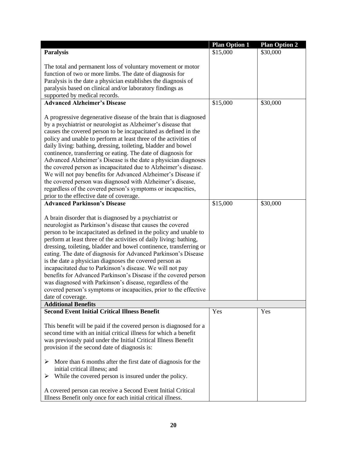| <b>Paralysis</b>                                                                                                             | <b>Plan Option 1</b><br>\$15,000 | <b>Plan Option 2</b><br>\$30,000 |
|------------------------------------------------------------------------------------------------------------------------------|----------------------------------|----------------------------------|
|                                                                                                                              |                                  |                                  |
| The total and permanent loss of voluntary movement or motor                                                                  |                                  |                                  |
| function of two or more limbs. The date of diagnosis for                                                                     |                                  |                                  |
| Paralysis is the date a physician establishes the diagnosis of                                                               |                                  |                                  |
| paralysis based on clinical and/or laboratory findings as                                                                    |                                  |                                  |
| supported by medical records.                                                                                                |                                  |                                  |
| <b>Advanced Alzheimer's Disease</b>                                                                                          | \$15,000                         | \$30,000                         |
| A progressive degenerative disease of the brain that is diagnosed                                                            |                                  |                                  |
| by a psychiatrist or neurologist as Alzheimer's disease that                                                                 |                                  |                                  |
| causes the covered person to be incapacitated as defined in the                                                              |                                  |                                  |
| policy and unable to perform at least three of the activities of                                                             |                                  |                                  |
| daily living: bathing, dressing, toileting, bladder and bowel                                                                |                                  |                                  |
| continence, transferring or eating. The date of diagnosis for                                                                |                                  |                                  |
| Advanced Alzheimer's Disease is the date a physician diagnoses                                                               |                                  |                                  |
| the covered person as incapacitated due to Alzheimer's disease.                                                              |                                  |                                  |
| We will not pay benefits for Advanced Alzheimer's Disease if                                                                 |                                  |                                  |
| the covered person was diagnosed with Alzheimer's disease,                                                                   |                                  |                                  |
| regardless of the covered person's symptoms or incapacities,                                                                 |                                  |                                  |
| prior to the effective date of coverage.                                                                                     |                                  |                                  |
| <b>Advanced Parkinson's Disease</b>                                                                                          | \$15,000                         | \$30,000                         |
|                                                                                                                              |                                  |                                  |
| A brain disorder that is diagnosed by a psychiatrist or                                                                      |                                  |                                  |
| neurologist as Parkinson's disease that causes the covered                                                                   |                                  |                                  |
| person to be incapacitated as defined in the policy and unable to                                                            |                                  |                                  |
| perform at least three of the activities of daily living: bathing,                                                           |                                  |                                  |
| dressing, toileting, bladder and bowel continence, transferring or                                                           |                                  |                                  |
| eating. The date of diagnosis for Advanced Parkinson's Disease                                                               |                                  |                                  |
| is the date a physician diagnoses the covered person as                                                                      |                                  |                                  |
| incapacitated due to Parkinson's disease. We will not pay                                                                    |                                  |                                  |
| benefits for Advanced Parkinson's Disease if the covered person                                                              |                                  |                                  |
| was diagnosed with Parkinson's disease, regardless of the                                                                    |                                  |                                  |
| covered person's symptoms or incapacities, prior to the effective                                                            |                                  |                                  |
| date of coverage.<br><b>Additional Benefits</b>                                                                              |                                  |                                  |
| <b>Second Event Initial Critical Illness Benefit</b>                                                                         | Yes                              | Yes                              |
|                                                                                                                              |                                  |                                  |
| This benefit will be paid if the covered person is diagnosed for a                                                           |                                  |                                  |
| second time with an initial critical illness for which a benefit                                                             |                                  |                                  |
| was previously paid under the Initial Critical Illness Benefit                                                               |                                  |                                  |
| provision if the second date of diagnosis is:                                                                                |                                  |                                  |
|                                                                                                                              |                                  |                                  |
| ➤<br>More than 6 months after the first date of diagnosis for the                                                            |                                  |                                  |
| initial critical illness; and                                                                                                |                                  |                                  |
| While the covered person is insured under the policy.<br>➤                                                                   |                                  |                                  |
|                                                                                                                              |                                  |                                  |
| A covered person can receive a Second Event Initial Critical<br>Illness Benefit only once for each initial critical illness. |                                  |                                  |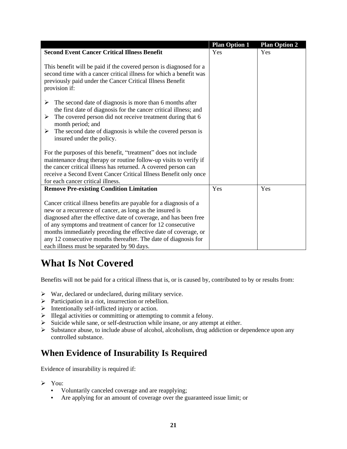|                                                                                                                                                                                                                                                                                                                                                                                                                                                      | <b>Plan Option 1</b> | <b>Plan Option 2</b> |
|------------------------------------------------------------------------------------------------------------------------------------------------------------------------------------------------------------------------------------------------------------------------------------------------------------------------------------------------------------------------------------------------------------------------------------------------------|----------------------|----------------------|
| <b>Second Event Cancer Critical Illness Benefit</b>                                                                                                                                                                                                                                                                                                                                                                                                  | Yes                  | Yes                  |
| This benefit will be paid if the covered person is diagnosed for a<br>second time with a cancer critical illness for which a benefit was<br>previously paid under the Cancer Critical Illness Benefit<br>provision if:                                                                                                                                                                                                                               |                      |                      |
| ➤<br>The second date of diagnosis is more than 6 months after<br>the first date of diagnosis for the cancer critical illness; and<br>The covered person did not receive treatment during that 6<br>➤<br>month period; and<br>The second date of diagnosis is while the covered person is<br>➤<br>insured under the policy.                                                                                                                           |                      |                      |
| For the purposes of this benefit, "treatment" does not include<br>maintenance drug therapy or routine follow-up visits to verify if<br>the cancer critical illness has returned. A covered person can<br>receive a Second Event Cancer Critical Illness Benefit only once<br>for each cancer critical illness.                                                                                                                                       |                      |                      |
| <b>Remove Pre-existing Condition Limitation</b>                                                                                                                                                                                                                                                                                                                                                                                                      | Yes                  | Yes                  |
| Cancer critical illness benefits are payable for a diagnosis of a<br>new or a recurrence of cancer, as long as the insured is<br>diagnosed after the effective date of coverage, and has been free<br>of any symptoms and treatment of cancer for 12 consecutive<br>months immediately preceding the effective date of coverage, or<br>any 12 consecutive months thereafter. The date of diagnosis for<br>each illness must be separated by 90 days. |                      |                      |

### <span id="page-25-0"></span>**What Is Not Covered**

Benefits will not be paid for a critical illness that is, or is caused by, contributed to by or results from:

- $\triangleright$  War, declared or undeclared, during military service.
- ➢ Participation in a riot, insurrection or rebellion.
- ➢ Intentionally self-inflicted injury or action.
- ➢ Illegal activities or committing or attempting to commit a felony.
- ➢ Suicide while sane, or self-destruction while insane, or any attempt at either.
- ➢ Substance abuse, to include abuse of alcohol, alcoholism, drug addiction or dependence upon any controlled substance.

### <span id="page-25-1"></span>**When Evidence of Insurability Is Required**

Evidence of insurability is required if:

- ➢ You:
	- **•** Voluntarily canceled coverage and are reapplying;
	- **•** Are applying for an amount of coverage over the guaranteed issue limit; or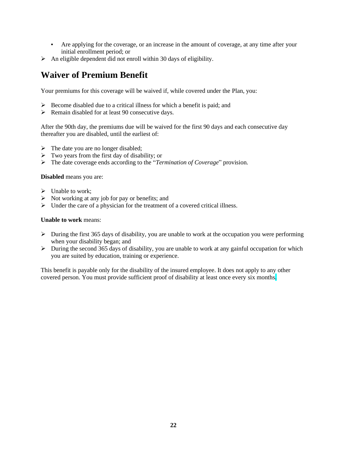- **•** Are applying for the coverage, or an increase in the amount of coverage, at any time after your initial enrollment period; or
- $\triangleright$  An eligible dependent did not enroll within 30 days of eligibility.

#### <span id="page-26-0"></span>**Waiver of Premium Benefit**

Your premiums for this coverage will be waived if, while covered under the Plan, you:

- ➢ Become disabled due to a critical illness for which a benefit is paid; and
- ➢ Remain disabled for at least 90 consecutive days.

After the 90th day, the premiums due will be waived for the first 90 days and each consecutive day thereafter you are disabled, until the earliest of:

- $\triangleright$  The date you are no longer disabled;
- $\triangleright$  Two years from the first day of disability; or
- ➢ The date coverage ends according to the "*Termination of Coverage*" provision.

**Disabled** means you are:

- $\triangleright$  Unable to work;
- $\triangleright$  Not working at any job for pay or benefits; and
- ➢ Under the care of a physician for the treatment of a covered critical illness.

#### **Unable to work** means:

- $\triangleright$  During the first 365 days of disability, you are unable to work at the occupation you were performing when your disability began; and
- ➢ During the second 365 days of disability, you are unable to work at any gainful occupation for which you are suited by education, training or experience.

This benefit is payable only for the disability of the insured employee. It does not apply to any other covered person. You must provide sufficient proof of disability at least once every six months.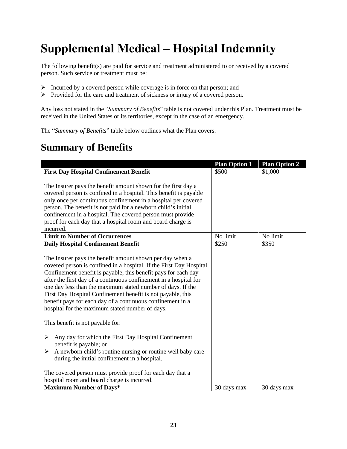# <span id="page-27-0"></span>**Supplemental Medical – Hospital Indemnity**

The following benefit(s) are paid for service and treatment administered to or received by a covered person. Such service or treatment must be:

- ➢ Incurred by a covered person while coverage is in force on that person; and
- ➢ Provided for the care and treatment of sickness or injury of a covered person.

Any loss not stated in the "*Summary of Benefits*" table is not covered under this Plan. Treatment must be received in the United States or its territories, except in the case of an emergency.

The "*Summary of Benefits*" table below outlines what the Plan covers.

### <span id="page-27-1"></span>**Summary of Benefits**

|                                                                                                                                                                                                                                                                                                                                                                                                                 | <b>Plan Option 1</b> | <b>Plan Option 2</b> |
|-----------------------------------------------------------------------------------------------------------------------------------------------------------------------------------------------------------------------------------------------------------------------------------------------------------------------------------------------------------------------------------------------------------------|----------------------|----------------------|
| <b>First Day Hospital Confinement Benefit</b>                                                                                                                                                                                                                                                                                                                                                                   | \$500                | \$1,000              |
| The Insurer pays the benefit amount shown for the first day a<br>covered person is confined in a hospital. This benefit is payable<br>only once per continuous confinement in a hospital per covered<br>person. The benefit is not paid for a newborn child's initial<br>confinement in a hospital. The covered person must provide<br>proof for each day that a hospital room and board charge is<br>incurred. |                      |                      |
| <b>Limit to Number of Occurrences</b>                                                                                                                                                                                                                                                                                                                                                                           | No limit             | No limit             |
| <b>Daily Hospital Confinement Benefit</b><br>The Insurer pays the benefit amount shown per day when a<br>covered person is confined in a hospital. If the First Day Hospital<br>Confinement benefit is payable, this benefit pays for each day<br>after the first day of a continuous confinement in a hospital for<br>one day less than the maximum stated number of days. If the                              | \$250                | \$350                |
| First Day Hospital Confinement benefit is not payable, this<br>benefit pays for each day of a continuous confinement in a<br>hospital for the maximum stated number of days.                                                                                                                                                                                                                                    |                      |                      |
| This benefit is not payable for:                                                                                                                                                                                                                                                                                                                                                                                |                      |                      |
| Any day for which the First Day Hospital Confinement<br>➤<br>benefit is payable; or<br>A newborn child's routine nursing or routine well baby care<br>≻<br>during the initial confinement in a hospital.                                                                                                                                                                                                        |                      |                      |
| The covered person must provide proof for each day that a<br>hospital room and board charge is incurred.                                                                                                                                                                                                                                                                                                        |                      |                      |
| <b>Maximum Number of Days*</b>                                                                                                                                                                                                                                                                                                                                                                                  | 30 days max          | 30 days max          |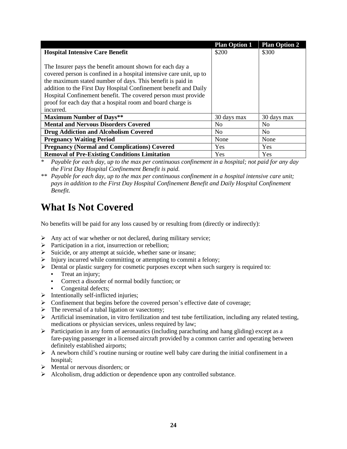|                                                                     | <b>Plan Option 1</b> | <b>Plan Option 2</b> |
|---------------------------------------------------------------------|----------------------|----------------------|
| <b>Hospital Intensive Care Benefit</b>                              | \$200                | \$300                |
|                                                                     |                      |                      |
| The Insurer pays the benefit amount shown for each day a            |                      |                      |
| covered person is confined in a hospital intensive care unit, up to |                      |                      |
| the maximum stated number of days. This benefit is paid in          |                      |                      |
| addition to the First Day Hospital Confinement benefit and Daily    |                      |                      |
| Hospital Confinement benefit. The covered person must provide       |                      |                      |
| proof for each day that a hospital room and board charge is         |                      |                      |
| incurred.                                                           |                      |                      |
| <b>Maximum Number of Days**</b>                                     | 30 days max          | 30 days max          |
| <b>Mental and Nervous Disorders Covered</b>                         | N <sub>0</sub>       | N <sub>0</sub>       |
| <b>Drug Addiction and Alcoholism Covered</b>                        | N <sub>0</sub>       | N <sub>0</sub>       |
| <b>Pregnancy Waiting Period</b>                                     | None                 | None                 |
| <b>Pregnancy (Normal and Complications) Covered</b>                 | Yes                  | Yes                  |
| <b>Removal of Pre-Existing Conditions Limitation</b>                | Yes                  | Yes                  |

*\* Payable for each day, up to the max per continuous confinement in a hospital; not paid for any day the First Day Hospital Confinement Benefit is paid.*

*\*\* Payable for each day, up to the max per continuous confinement in a hospital intensive care unit; pays in addition to the First Day Hospital Confinement Benefit and Daily Hospital Confinement Benefit.*

### <span id="page-28-0"></span>**What Is Not Covered**

No benefits will be paid for any loss caused by or resulting from (directly or indirectly):

- $\triangleright$  Any act of war whether or not declared, during military service;
- ➢ Participation in a riot, insurrection or rebellion;
- ➢ Suicide, or any attempt at suicide, whether sane or insane;
- $\triangleright$  Injury incurred while committing or attempting to commit a felony;
- $\triangleright$  Dental or plastic surgery for cosmetic purposes except when such surgery is required to:
	- **•** Treat an injury;
	- **•** Correct a disorder of normal bodily function; or
	- **•** Congenital defects;
- $\triangleright$  Intentionally self-inflicted injuries;
- ➢ Confinement that begins before the covered person's effective date of coverage;
- $\triangleright$  The reversal of a tubal ligation or vasectomy;
- $\triangleright$  Artificial insemination, in vitro fertilization and test tube fertilization, including any related testing, medications or physician services, unless required by law;
- $\triangleright$  Participation in any form of aeronautics (including parachuting and hang gliding) except as a fare-paying passenger in a licensed aircraft provided by a common carrier and operating between definitely established airports;
- ➢ A newborn child's routine nursing or routine well baby care during the initial confinement in a hospital;
- $\triangleright$  Mental or nervous disorders; or
- ➢ Alcoholism, drug addiction or dependence upon any controlled substance.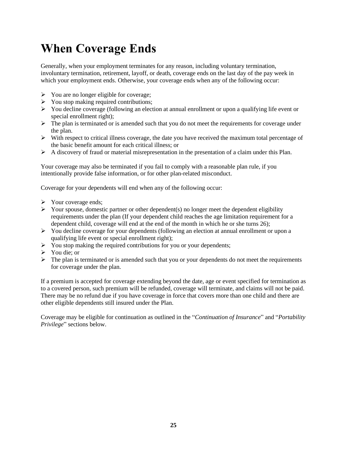## <span id="page-29-0"></span>**When Coverage Ends**

Generally, when your employment terminates for any reason, including voluntary termination, involuntary termination, retirement, layoff, or death, coverage ends on the last day of the pay week in which your employment ends. Otherwise, your coverage ends when any of the following occur:

- ➢ You are no longer eligible for coverage;
- $\triangleright$  You stop making required contributions;
- $\triangleright$  You decline coverage (following an election at annual enrollment or upon a qualifying life event or special enrollment right);
- $\triangleright$  The plan is terminated or is amended such that you do not meet the requirements for coverage under the plan.
- $\triangleright$  With respect to critical illness coverage, the date you have received the maximum total percentage of the basic benefit amount for each critical illness; or
- $\triangleright$  A discovery of fraud or material misrepresentation in the presentation of a claim under this Plan.

Your coverage may also be terminated if you fail to comply with a reasonable plan rule, if you intentionally provide false information, or for other plan-related misconduct.

Coverage for your dependents will end when any of the following occur:

- ➢ Your coverage ends;
- $\triangleright$  Your spouse, domestic partner or other dependent(s) no longer meet the dependent eligibility requirements under the plan (If your dependent child reaches the age limitation requirement for a dependent child, coverage will end at the end of the month in which he or she turns 26);
- $\triangleright$  You decline coverage for your dependents (following an election at annual enrollment or upon a qualifying life event or special enrollment right);
- $\triangleright$  You stop making the required contributions for you or your dependents;
- ➢ You die; or
- $\triangleright$  The plan is terminated or is amended such that you or your dependents do not meet the requirements for coverage under the plan.

If a premium is accepted for coverage extending beyond the date, age or event specified for termination as to a covered person, such premium will be refunded, coverage will terminate, and claims will not be paid. There may be no refund due if you have coverage in force that covers more than one child and there are other eligible dependents still insured under the Plan.

Coverage may be eligible for continuation as outlined in the "*Continuation of Insurance*" and "*Portability Privilege*" sections below.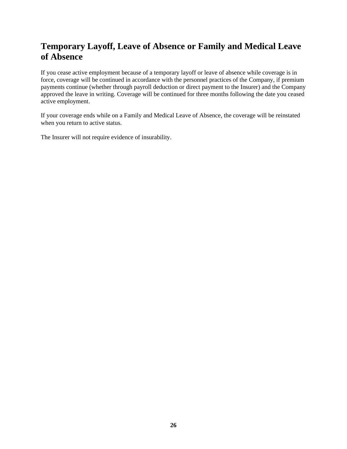### <span id="page-30-0"></span>**Temporary Layoff, Leave of Absence or Family and Medical Leave of Absence**

If you cease active employment because of a temporary layoff or leave of absence while coverage is in force, coverage will be continued in accordance with the personnel practices of the Company, if premium payments continue (whether through payroll deduction or direct payment to the Insurer) and the Company approved the leave in writing. Coverage will be continued for three months following the date you ceased active employment.

If your coverage ends while on a Family and Medical Leave of Absence, the coverage will be reinstated when you return to active status.

The Insurer will not require evidence of insurability.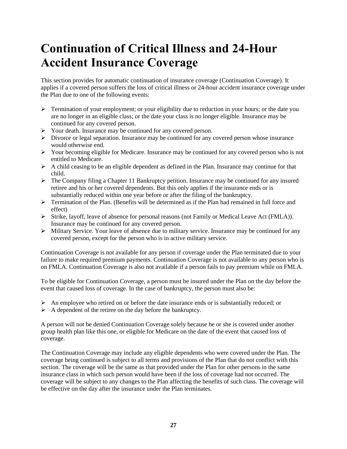## <span id="page-31-0"></span>**Continuation of Critical Illness and 24-Hour Accident Insurance Coverage**

This section provides for automatic continuation of insurance coverage (Continuation Coverage). It applies if a covered person suffers the loss of critical illness or 24-hour accident insurance coverage under the Plan due to one of the following events:

- $\triangleright$  Termination of your employment; or your eligibility due to reduction in your hours; or the date you are no longer in an eligible class; or the date your class is no longer eligible. Insurance may be continued for any covered person.
- ➢ Your death. Insurance may be continued for any covered person.
- $\triangleright$  Divorce or legal separation. Insurance may be continued for any covered person whose insurance would otherwise end.
- $\triangleright$  Your becoming eligible for Medicare. Insurance may be continued for any covered person who is not entitled to Medicare.
- $\triangleright$  A child ceasing to be an eligible dependent as defined in the Plan. Insurance may continue for that child.
- $\triangleright$  The Company filing a Chapter 11 Bankruptcy petition. Insurance may be continued for any insured retiree and his or her covered dependents. But this only applies if the insurance ends or is substantially reduced within one year before or after the filing of the bankruptcy.
- $\triangleright$  Termination of the Plan. (Benefits will be determined as if the Plan had remained in full force and effect)
- ➢ Strike, layoff, leave of absence for personal reasons (not Family or Medical Leave Act (FMLA)). Insurance may be continued for any covered person.
- ➢ Military Service. Your leave of absence due to military service. Insurance may be continued for any covered person, except for the person who is in active military service.

Continuation Coverage is not available for any person if coverage under the Plan terminated due to your failure to make required premium payments. Continuation Coverage is not available to any person who is on FMLA. Continuation Coverage is also not available if a person fails to pay premium while on FMLA.

To be eligible for Continuation Coverage, a person must be insured under the Plan on the day before the event that caused loss of coverage. In the case of bankruptcy, the person must also be:

- $\triangleright$  An employee who retired on or before the date insurance ends or is substantially reduced; or
- $\triangleright$  A dependent of the retiree on the day before the bankruptcy.

A person will not be denied Continuation Coverage solely because he or she is covered under another group health plan like this one, or eligible for Medicare on the date of the event that caused loss of coverage.

The Continuation Coverage may include any eligible dependents who were covered under the Plan. The coverage being continued is subject to all terms and provisions of the Plan that do not conflict with this section. The coverage will be the same as that provided under the Plan for other persons in the same insurance class in which such person would have been if the loss of coverage had not occurred. The coverage will be subject to any changes to the Plan affecting the benefits of such class. The coverage will be effective on the day after the insurance under the Plan terminates.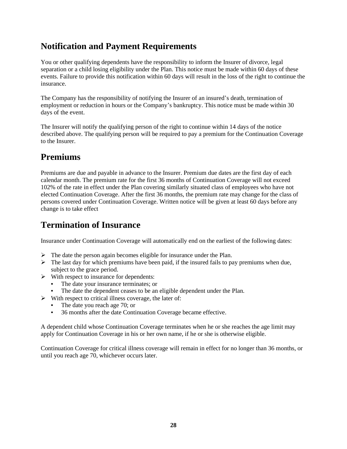#### <span id="page-32-0"></span>**Notification and Payment Requirements**

You or other qualifying dependents have the responsibility to inform the Insurer of divorce, legal separation or a child losing eligibility under the Plan. This notice must be made within 60 days of these events. Failure to provide this notification within 60 days will result in the loss of the right to continue the insurance.

The Company has the responsibility of notifying the Insurer of an insured's death, termination of employment or reduction in hours or the Company's bankruptcy. This notice must be made within 30 days of the event.

The Insurer will notify the qualifying person of the right to continue within 14 days of the notice described above. The qualifying person will be required to pay a premium for the Continuation Coverage to the Insurer.

#### <span id="page-32-1"></span>**Premiums**

Premiums are due and payable in advance to the Insurer. Premium due dates are the first day of each calendar month. The premium rate for the first 36 months of Continuation Coverage will not exceed 102% of the rate in effect under the Plan covering similarly situated class of employees who have not elected Continuation Coverage. After the first 36 months, the premium rate may change for the class of persons covered under Continuation Coverage. Written notice will be given at least 60 days before any change is to take effect

#### <span id="page-32-2"></span>**Termination of Insurance**

Insurance under Continuation Coverage will automatically end on the earliest of the following dates:

- $\triangleright$  The date the person again becomes eligible for insurance under the Plan.
- $\triangleright$  The last day for which premiums have been paid, if the insured fails to pay premiums when due, subject to the grace period.
- $\triangleright$  With respect to insurance for dependents:
	- **•** The date your insurance terminates; or
	- The date the dependent ceases to be an eligible dependent under the Plan.
- ➢ With respect to critical illness coverage, the later of:
	- **•** The date you reach age 70; or
	- **•** 36 months after the date Continuation Coverage became effective.

A dependent child whose Continuation Coverage terminates when he or she reaches the age limit may apply for Continuation Coverage in his or her own name, if he or she is otherwise eligible.

Continuation Coverage for critical illness coverage will remain in effect for no longer than 36 months, or until you reach age 70, whichever occurs later.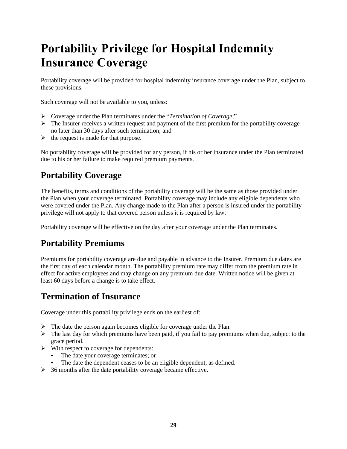## <span id="page-33-0"></span>**Portability Privilege for Hospital Indemnity Insurance Coverage**

Portability coverage will be provided for hospital indemnity insurance coverage under the Plan, subject to these provisions.

Such coverage will not be available to you, unless:

- ➢ Coverage under the Plan terminates under the "*Termination of Coverage*;"
- $\triangleright$  The Insurer receives a written request and payment of the first premium for the portability coverage no later than 30 days after such termination; and
- $\triangleright$  the request is made for that purpose.

No portability coverage will be provided for any person, if his or her insurance under the Plan terminated due to his or her failure to make required premium payments.

### <span id="page-33-1"></span>**Portability Coverage**

The benefits, terms and conditions of the portability coverage will be the same as those provided under the Plan when your coverage terminated. Portability coverage may include any eligible dependents who were covered under the Plan. Any change made to the Plan after a person is insured under the portability privilege will not apply to that covered person unless it is required by law.

Portability coverage will be effective on the day after your coverage under the Plan terminates.

### <span id="page-33-2"></span>**Portability Premiums**

Premiums for portability coverage are due and payable in advance to the Insurer. Premium due dates are the first day of each calendar month. The portability premium rate may differ from the premium rate in effect for active employees and may change on any premium due date. Written notice will be given at least 60 days before a change is to take effect.

### <span id="page-33-3"></span>**Termination of Insurance**

Coverage under this portability privilege ends on the earliest of:

- ➢ The date the person again becomes eligible for coverage under the Plan.
- $\triangleright$  The last day for which premiums have been paid, if you fail to pay premiums when due, subject to the grace period.
- $\triangleright$  With respect to coverage for dependents:
	- **•** The date your coverage terminates; or
	- The date the dependent ceases to be an eligible dependent, as defined.
- $\geq$  36 months after the date portability coverage became effective.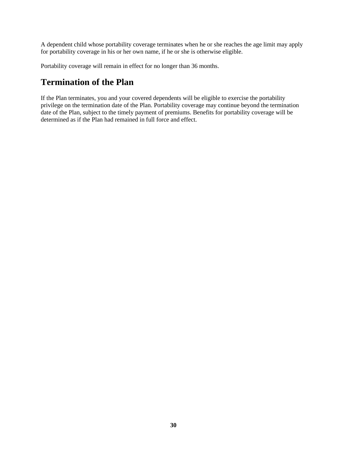A dependent child whose portability coverage terminates when he or she reaches the age limit may apply for portability coverage in his or her own name, if he or she is otherwise eligible.

Portability coverage will remain in effect for no longer than 36 months.

#### <span id="page-34-0"></span>**Termination of the Plan**

If the Plan terminates, you and your covered dependents will be eligible to exercise the portability privilege on the termination date of the Plan. Portability coverage may continue beyond the termination date of the Plan, subject to the timely payment of premiums. Benefits for portability coverage will be determined as if the Plan had remained in full force and effect.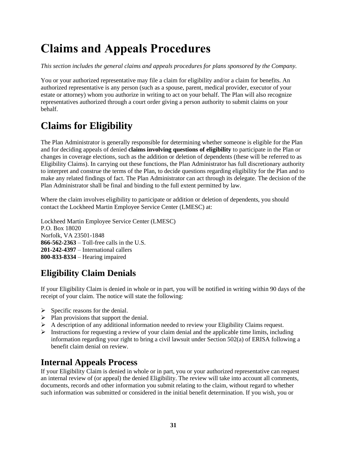## <span id="page-35-0"></span>**Claims and Appeals Procedures**

*This section includes the general claims and appeals procedures for plans sponsored by the Company.*

You or your authorized representative may file a claim for eligibility and/or a claim for benefits. An authorized representative is any person (such as a spouse, parent, medical provider, executor of your estate or attorney) whom you authorize in writing to act on your behalf. The Plan will also recognize representatives authorized through a court order giving a person authority to submit claims on your behalf.

### <span id="page-35-1"></span>**Claims for Eligibility**

The Plan Administrator is generally responsible for determining whether someone is eligible for the Plan and for deciding appeals of denied **claims involving questions of eligibility** to participate in the Plan or changes in coverage elections, such as the addition or deletion of dependents (these will be referred to as Eligibility Claims). In carrying out these functions, the Plan Administrator has full discretionary authority to interpret and construe the terms of the Plan, to decide questions regarding eligibility for the Plan and to make any related findings of fact. The Plan Administrator can act through its delegate. The decision of the Plan Administrator shall be final and binding to the full extent permitted by law.

Where the claim involves eligibility to participate or addition or deletion of dependents, you should contact the Lockheed Martin Employee Service Center (LMESC) at:

Lockheed Martin Employee Service Center (LMESC) P.O. Box 18020 Norfolk, VA 23501-1848 **866-562-2363** – Toll-free calls in the U.S. **201-242-4397** – International callers **800-833-8334** – Hearing impaired

### <span id="page-35-2"></span>**Eligibility Claim Denials**

If your Eligibility Claim is denied in whole or in part, you will be notified in writing within 90 days of the receipt of your claim. The notice will state the following:

- $\triangleright$  Specific reasons for the denial.
- $\triangleright$  Plan provisions that support the denial.
- $\triangleright$  A description of any additional information needed to review your Eligibility Claims request.
- ➢ Instructions for requesting a review of your claim denial and the applicable time limits, including information regarding your right to bring a civil lawsuit under Section 502(a) of ERISA following a benefit claim denial on review.

#### <span id="page-35-3"></span>**Internal Appeals Process**

If your Eligibility Claim is denied in whole or in part, you or your authorized representative can request an internal review of (or appeal) the denied Eligibility. The review will take into account all comments, documents, records and other information you submit relating to the claim, without regard to whether such information was submitted or considered in the initial benefit determination. If you wish, you or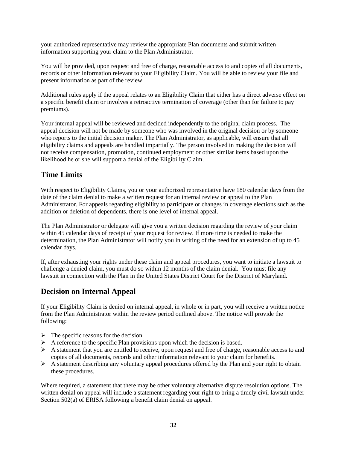your authorized representative may review the appropriate Plan documents and submit written information supporting your claim to the Plan Administrator.

You will be provided, upon request and free of charge, reasonable access to and copies of all documents, records or other information relevant to your Eligibility Claim. You will be able to review your file and present information as part of the review.

Additional rules apply if the appeal relates to an Eligibility Claim that either has a direct adverse effect on a specific benefit claim or involves a retroactive termination of coverage (other than for failure to pay premiums).

Your internal appeal will be reviewed and decided independently to the original claim process. The appeal decision will not be made by someone who was involved in the original decision or by someone who reports to the initial decision maker. The Plan Administrator, as applicable, will ensure that all eligibility claims and appeals are handled impartially. The person involved in making the decision will not receive compensation, promotion, continued employment or other similar items based upon the likelihood he or she will support a denial of the Eligibility Claim.

#### **Time Limits**

With respect to Eligibility Claims, you or your authorized representative have 180 calendar days from the date of the claim denial to make a written request for an internal review or appeal to the Plan Administrator. For appeals regarding eligibility to participate or changes in coverage elections such as the addition or deletion of dependents, there is one level of internal appeal.

The Plan Administrator or delegate will give you a written decision regarding the review of your claim within 45 calendar days of receipt of your request for review. If more time is needed to make the determination, the Plan Administrator will notify you in writing of the need for an extension of up to 45 calendar days.

If, after exhausting your rights under these claim and appeal procedures, you want to initiate a lawsuit to challenge a denied claim, you must do so within 12 months of the claim denial. You must file any lawsuit in connection with the Plan in the United States District Court for the District of Maryland.

#### **Decision on Internal Appeal**

If your Eligibility Claim is denied on internal appeal, in whole or in part, you will receive a written notice from the Plan Administrator within the review period outlined above. The notice will provide the following:

- $\triangleright$  The specific reasons for the decision.
- $\triangleright$  A reference to the specific Plan provisions upon which the decision is based.
- $\triangleright$  A statement that you are entitled to receive, upon request and free of charge, reasonable access to and copies of all documents, records and other information relevant to your claim for benefits.
- $\triangleright$  A statement describing any voluntary appeal procedures offered by the Plan and your right to obtain these procedures.

Where required, a statement that there may be other voluntary alternative dispute resolution options. The written denial on appeal will include a statement regarding your right to bring a timely civil lawsuit under Section 502(a) of ERISA following a benefit claim denial on appeal.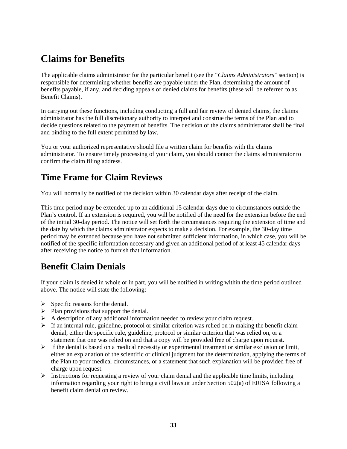### <span id="page-37-0"></span>**Claims for Benefits**

The applicable claims administrator for the particular benefit (see the "*Claims Administrators*" section) is responsible for determining whether benefits are payable under the Plan, determining the amount of benefits payable, if any, and deciding appeals of denied claims for benefits (these will be referred to as Benefit Claims).

In carrying out these functions, including conducting a full and fair review of denied claims, the claims administrator has the full discretionary authority to interpret and construe the terms of the Plan and to decide questions related to the payment of benefits. The decision of the claims administrator shall be final and binding to the full extent permitted by law.

You or your authorized representative should file a written claim for benefits with the claims administrator. To ensure timely processing of your claim, you should contact the claims administrator to confirm the claim filing address.

#### <span id="page-37-1"></span>**Time Frame for Claim Reviews**

You will normally be notified of the decision within 30 calendar days after receipt of the claim.

This time period may be extended up to an additional 15 calendar days due to circumstances outside the Plan's control. If an extension is required, you will be notified of the need for the extension before the end of the initial 30-day period. The notice will set forth the circumstances requiring the extension of time and the date by which the claims administrator expects to make a decision. For example, the 30-day time period may be extended because you have not submitted sufficient information, in which case, you will be notified of the specific information necessary and given an additional period of at least 45 calendar days after receiving the notice to furnish that information.

#### <span id="page-37-2"></span>**Benefit Claim Denials**

If your claim is denied in whole or in part, you will be notified in writing within the time period outlined above. The notice will state the following:

- $\triangleright$  Specific reasons for the denial.
- $\triangleright$  Plan provisions that support the denial.
- $\triangleright$  A description of any additional information needed to review your claim request.
- $\triangleright$  If an internal rule, guideline, protocol or similar criterion was relied on in making the benefit claim denial, either the specific rule, guideline, protocol or similar criterion that was relied on, or a statement that one was relied on and that a copy will be provided free of charge upon request.
- $\triangleright$  If the denial is based on a medical necessity or experimental treatment or similar exclusion or limit, either an explanation of the scientific or clinical judgment for the determination, applying the terms of the Plan to your medical circumstances, or a statement that such explanation will be provided free of charge upon request.
- $\triangleright$  Instructions for requesting a review of your claim denial and the applicable time limits, including information regarding your right to bring a civil lawsuit under Section 502(a) of ERISA following a benefit claim denial on review.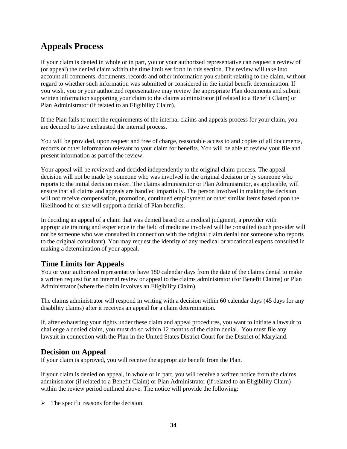### <span id="page-38-0"></span>**Appeals Process**

If your claim is denied in whole or in part, you or your authorized representative can request a review of (or appeal) the denied claim within the time limit set forth in this section. The review will take into account all comments, documents, records and other information you submit relating to the claim, without regard to whether such information was submitted or considered in the initial benefit determination. If you wish, you or your authorized representative may review the appropriate Plan documents and submit written information supporting your claim to the claims administrator (if related to a Benefit Claim) or Plan Administrator (if related to an Eligibility Claim).

If the Plan fails to meet the requirements of the internal claims and appeals process for your claim, you are deemed to have exhausted the internal process.

You will be provided, upon request and free of charge, reasonable access to and copies of all documents, records or other information relevant to your claim for benefits. You will be able to review your file and present information as part of the review.

Your appeal will be reviewed and decided independently to the original claim process. The appeal decision will not be made by someone who was involved in the original decision or by someone who reports to the initial decision maker. The claims administrator or Plan Administrator, as applicable, will ensure that all claims and appeals are handled impartially. The person involved in making the decision will not receive compensation, promotion, continued employment or other similar items based upon the likelihood he or she will support a denial of Plan benefits.

In deciding an appeal of a claim that was denied based on a medical judgment, a provider with appropriate training and experience in the field of medicine involved will be consulted (such provider will not be someone who was consulted in connection with the original claim denial nor someone who reports to the original consultant). You may request the identity of any medical or vocational experts consulted in making a determination of your appeal.

#### **Time Limits for Appeals**

You or your authorized representative have 180 calendar days from the date of the claims denial to make a written request for an internal review or appeal to the claims administrator (for Benefit Claims) or Plan Administrator (where the claim involves an Eligibility Claim).

The claims administrator will respond in writing with a decision within 60 calendar days (45 days for any disability claims) after it receives an appeal for a claim determination.

If, after exhausting your rights under these claim and appeal procedures, you want to initiate a lawsuit to challenge a denied claim, you must do so within 12 months of the claim denial. You must file any lawsuit in connection with the Plan in the United States District Court for the District of Maryland.

#### **Decision on Appeal**

If your claim is approved, you will receive the appropriate benefit from the Plan.

If your claim is denied on appeal, in whole or in part, you will receive a written notice from the claims administrator (if related to a Benefit Claim) or Plan Administrator (if related to an Eligibility Claim) within the review period outlined above. The notice will provide the following:

 $\triangleright$  The specific reasons for the decision.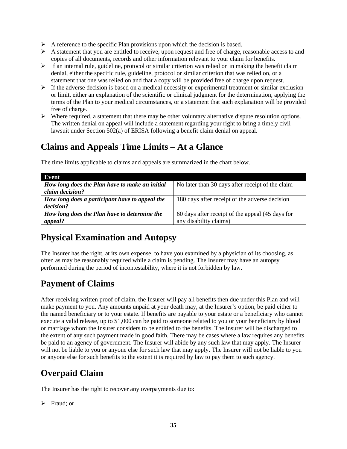- $\triangleright$  A reference to the specific Plan provisions upon which the decision is based.
- ➢ A statement that you are entitled to receive, upon request and free of charge, reasonable access to and copies of all documents, records and other information relevant to your claim for benefits.
- $\triangleright$  If an internal rule, guideline, protocol or similar criterion was relied on in making the benefit claim denial, either the specific rule, guideline, protocol or similar criterion that was relied on, or a statement that one was relied on and that a copy will be provided free of charge upon request.
- $\triangleright$  If the adverse decision is based on a medical necessity or experimental treatment or similar exclusion or limit, either an explanation of the scientific or clinical judgment for the determination, applying the terms of the Plan to your medical circumstances, or a statement that such explanation will be provided free of charge.
- $\triangleright$  Where required, a statement that there may be other voluntary alternative dispute resolution options. The written denial on appeal will include a statement regarding your right to bring a timely civil lawsuit under Section 502(a) of ERISA following a benefit claim denial on appeal.

### <span id="page-39-0"></span>**Claims and Appeals Time Limits – At a Glance**

| Event                                          |                                                  |
|------------------------------------------------|--------------------------------------------------|
| How long does the Plan have to make an initial | No later than 30 days after receipt of the claim |
| claim decision?                                |                                                  |
| How long does a participant have to appeal the | 180 days after receipt of the adverse decision   |
| decision?                                      |                                                  |
| How long does the Plan have to determine the   | 60 days after receipt of the appeal (45 days for |
| appeal?                                        | any disability claims)                           |

The time limits applicable to claims and appeals are summarized in the chart below.

### <span id="page-39-1"></span>**Physical Examination and Autopsy**

The Insurer has the right, at its own expense, to have you examined by a physician of its choosing, as often as may be reasonably required while a claim is pending. The Insurer may have an autopsy performed during the period of incontestability, where it is not forbidden by law.

#### <span id="page-39-2"></span>**Payment of Claims**

After receiving written proof of claim, the Insurer will pay all benefits then due under this Plan and will make payment to you. Any amounts unpaid at your death may, at the Insurer's option, be paid either to the named beneficiary or to your estate. If benefits are payable to your estate or a beneficiary who cannot execute a valid release, up to \$1,000 can be paid to someone related to you or your beneficiary by blood or marriage whom the Insurer considers to be entitled to the benefits. The Insurer will be discharged to the extent of any such payment made in good faith. There may be cases where a law requires any benefits be paid to an agency of government. The Insurer will abide by any such law that may apply. The Insurer will not be liable to you or anyone else for such law that may apply. The Insurer will not be liable to you or anyone else for such benefits to the extent it is required by law to pay them to such agency.

#### <span id="page-39-3"></span>**Overpaid Claim**

The Insurer has the right to recover any overpayments due to:

➢ Fraud; or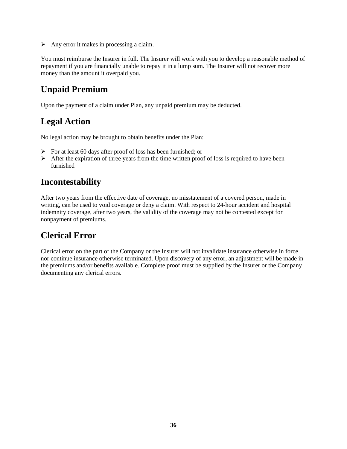$\triangleright$  Any error it makes in processing a claim.

You must reimburse the Insurer in full. The Insurer will work with you to develop a reasonable method of repayment if you are financially unable to repay it in a lump sum. The Insurer will not recover more money than the amount it overpaid you.

### <span id="page-40-0"></span>**Unpaid Premium**

Upon the payment of a claim under Plan, any unpaid premium may be deducted.

### <span id="page-40-1"></span>**Legal Action**

No legal action may be brought to obtain benefits under the Plan:

- $\triangleright$  For at least 60 days after proof of loss has been furnished; or
- $\triangleright$  After the expiration of three years from the time written proof of loss is required to have been furnished

#### <span id="page-40-2"></span>**Incontestability**

After two years from the effective date of coverage, no misstatement of a covered person, made in writing, can be used to void coverage or deny a claim. With respect to 24-hour accident and hospital indemnity coverage, after two years, the validity of the coverage may not be contested except for nonpayment of premiums.

### <span id="page-40-3"></span>**Clerical Error**

Clerical error on the part of the Company or the Insurer will not invalidate insurance otherwise in force nor continue insurance otherwise terminated. Upon discovery of any error, an adjustment will be made in the premiums and/or benefits available. Complete proof must be supplied by the Insurer or the Company documenting any clerical errors.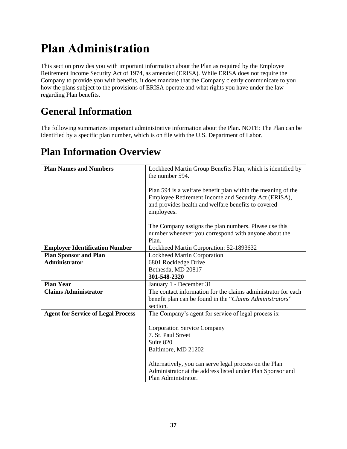# <span id="page-41-0"></span>**Plan Administration**

This section provides you with important information about the Plan as required by the Employee Retirement Income Security Act of 1974, as amended (ERISA). While ERISA does not require the Company to provide you with benefits, it does mandate that the Company clearly communicate to you how the plans subject to the provisions of ERISA operate and what rights you have under the law regarding Plan benefits.

## <span id="page-41-1"></span>**General Information**

The following summarizes important administrative information about the Plan. NOTE: The Plan can be identified by a specific plan number, which is on file with the U.S. Department of Labor.

### <span id="page-41-2"></span>**Plan Information Overview**

| <b>Plan Names and Numbers</b>             | Lockheed Martin Group Benefits Plan, which is identified by<br>the number 594.                                                                                                            |  |
|-------------------------------------------|-------------------------------------------------------------------------------------------------------------------------------------------------------------------------------------------|--|
|                                           | Plan 594 is a welfare benefit plan within the meaning of the<br>Employee Retirement Income and Security Act (ERISA),<br>and provides health and welfare benefits to covered<br>employees. |  |
|                                           | The Company assigns the plan numbers. Please use this<br>number whenever you correspond with anyone about the<br>Plan.                                                                    |  |
| <b>Employer Identification Number</b>     | Lockheed Martin Corporation: 52-1893632                                                                                                                                                   |  |
| <b>Plan Sponsor and Plan</b>              | <b>Lockheed Martin Corporation</b>                                                                                                                                                        |  |
| <b>Administrator</b>                      | 6801 Rockledge Drive                                                                                                                                                                      |  |
|                                           | Bethesda, MD 20817                                                                                                                                                                        |  |
|                                           | 301-548-2320                                                                                                                                                                              |  |
| <b>Plan Year</b>                          | January 1 - December 31                                                                                                                                                                   |  |
| <b>Claims Administrator</b>               | The contact information for the claims administrator for each<br>benefit plan can be found in the "Claims Administrators"<br>section.                                                     |  |
| <b>Agent for Service of Legal Process</b> | The Company's agent for service of legal process is:                                                                                                                                      |  |
|                                           | <b>Corporation Service Company</b><br>7. St. Paul Street<br>Suite 820<br>Baltimore, MD 21202                                                                                              |  |
|                                           | Alternatively, you can serve legal process on the Plan<br>Administrator at the address listed under Plan Sponsor and<br>Plan Administrator.                                               |  |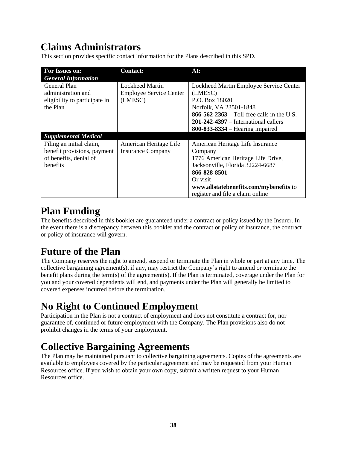### <span id="page-42-0"></span>**Claims Administrators**

This section provides specific contact information for the Plans described in this SPD.

| For Issues on:                | <b>Contact:</b>                | At:                                        |
|-------------------------------|--------------------------------|--------------------------------------------|
| <b>General Information</b>    |                                |                                            |
| General Plan                  | <b>Lockheed Martin</b>         | Lockheed Martin Employee Service Center    |
| administration and            | <b>Employee Service Center</b> | (LMESC)                                    |
| eligibility to participate in | (LMESC)                        | P.O. Box 18020                             |
| the Plan                      |                                | Norfolk, VA 23501-1848                     |
|                               |                                | 866-562-2363 – Toll-free calls in the U.S. |
|                               |                                | $201-242-4397$ – International callers     |
|                               |                                | $800 - 833 - 8334 -$ Hearing impaired      |
| <b>Supplemental Medical</b>   |                                |                                            |
| Filing an initial claim,      | American Heritage Life         | American Heritage Life Insurance           |
| benefit provisions, payment   | <b>Insurance Company</b>       | Company                                    |
| of benefits, denial of        |                                | 1776 American Heritage Life Drive,         |
| benefits                      |                                | Jacksonville, Florida 32224-6687           |
|                               |                                | 866-828-8501                               |
|                               |                                | Or visit                                   |
|                               |                                | www.allstatebenefits.com/mybenefits to     |
|                               |                                | register and file a claim online           |

### <span id="page-42-1"></span>**Plan Funding**

The benefits described in this booklet are guaranteed under a contract or policy issued by the Insurer. In the event there is a discrepancy between this booklet and the contract or policy of insurance, the contract or policy of insurance will govern.

## <span id="page-42-2"></span>**Future of the Plan**

The Company reserves the right to amend, suspend or terminate the Plan in whole or part at any time. The collective bargaining agreement(s), if any, may restrict the Company's right to amend or terminate the benefit plans during the term(s) of the agreement(s). If the Plan is terminated, coverage under the Plan for you and your covered dependents will end, and payments under the Plan will generally be limited to covered expenses incurred before the termination.

## <span id="page-42-3"></span>**No Right to Continued Employment**

Participation in the Plan is not a contract of employment and does not constitute a contract for, nor guarantee of, continued or future employment with the Company. The Plan provisions also do not prohibit changes in the terms of your employment.

## <span id="page-42-4"></span>**Collective Bargaining Agreements**

The Plan may be maintained pursuant to collective bargaining agreements. Copies of the agreements are available to employees covered by the particular agreement and may be requested from your Human Resources office. If you wish to obtain your own copy, submit a written request to your Human Resources office.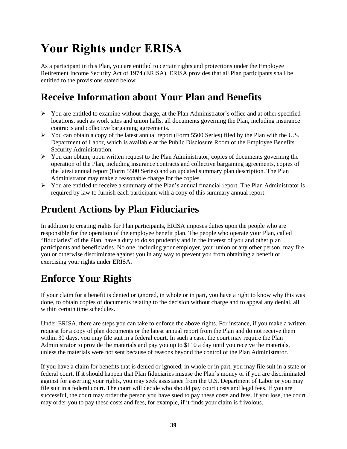# <span id="page-43-0"></span>**Your Rights under ERISA**

As a participant in this Plan, you are entitled to certain rights and protections under the Employee Retirement Income Security Act of 1974 (ERISA). ERISA provides that all Plan participants shall be entitled to the provisions stated below.

### <span id="page-43-1"></span>**Receive Information about Your Plan and Benefits**

- $\triangleright$  You are entitled to examine without charge, at the Plan Administrator's office and at other specified locations, such as work sites and union halls, all documents governing the Plan, including insurance contracts and collective bargaining agreements.
- $\triangleright$  You can obtain a copy of the latest annual report (Form 5500 Series) filed by the Plan with the U.S. Department of Labor, which is available at the Public Disclosure Room of the Employee Benefits Security Administration.
- ➢ You can obtain, upon written request to the Plan Administrator, copies of documents governing the operation of the Plan, including insurance contracts and collective bargaining agreements, copies of the latest annual report (Form 5500 Series) and an updated summary plan description. The Plan Administrator may make a reasonable charge for the copies.
- ➢ You are entitled to receive a summary of the Plan's annual financial report. The Plan Administrator is required by law to furnish each participant with a copy of this summary annual report.

### <span id="page-43-2"></span>**Prudent Actions by Plan Fiduciaries**

In addition to creating rights for Plan participants, ERISA imposes duties upon the people who are responsible for the operation of the employee benefit plan. The people who operate your Plan, called "fiduciaries" of the Plan, have a duty to do so prudently and in the interest of you and other plan participants and beneficiaries. No one, including your employer, your union or any other person, may fire you or otherwise discriminate against you in any way to prevent you from obtaining a benefit or exercising your rights under ERISA.

## <span id="page-43-3"></span>**Enforce Your Rights**

If your claim for a benefit is denied or ignored, in whole or in part, you have a right to know why this was done, to obtain copies of documents relating to the decision without charge and to appeal any denial, all within certain time schedules.

Under ERISA, there are steps you can take to enforce the above rights. For instance, if you make a written request for a copy of plan documents or the latest annual report from the Plan and do not receive them within 30 days, you may file suit in a federal court. In such a case, the court may require the Plan Administrator to provide the materials and pay you up to \$110 a day until you receive the materials, unless the materials were not sent because of reasons beyond the control of the Plan Administrator.

If you have a claim for benefits that is denied or ignored, in whole or in part, you may file suit in a state or federal court. If it should happen that Plan fiduciaries misuse the Plan's money or if you are discriminated against for asserting your rights, you may seek assistance from the U.S. Department of Labor or you may file suit in a federal court. The court will decide who should pay court costs and legal fees. If you are successful, the court may order the person you have sued to pay these costs and fees. If you lose, the court may order you to pay these costs and fees, for example, if it finds your claim is frivolous.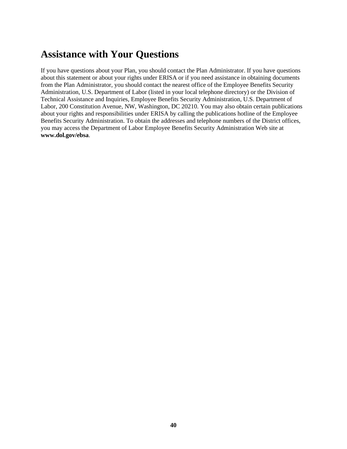### <span id="page-44-0"></span>**Assistance with Your Questions**

If you have questions about your Plan, you should contact the Plan Administrator. If you have questions about this statement or about your rights under ERISA or if you need assistance in obtaining documents from the Plan Administrator, you should contact the nearest office of the Employee Benefits Security Administration, U.S. Department of Labor (listed in your local telephone directory) or the Division of Technical Assistance and Inquiries, Employee Benefits Security Administration, U.S. Department of Labor, 200 Constitution Avenue, NW, Washington, DC 20210. You may also obtain certain publications about your rights and responsibilities under ERISA by calling the publications hotline of the Employee Benefits Security Administration. To obtain the addresses and telephone numbers of the District offices, you may access the Department of Labor Employee Benefits Security Administration Web site at **[www.dol.gov/ebsa](http://www.dol.gov/ebsa)**.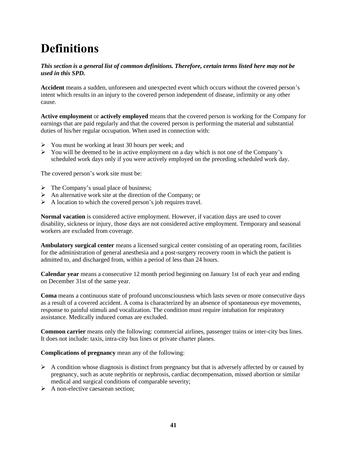## <span id="page-45-0"></span>**Definitions**

#### *This section is a general list of common definitions. Therefore, certain terms listed here may not be used in this SPD.*

**Accident** means a sudden, unforeseen and unexpected event which occurs without the covered person's intent which results in an injury to the covered person independent of disease, infirmity or any other cause.

**Active employment** or **actively employed** means that the covered person is working for the Company for earnings that are paid regularly and that the covered person is performing the material and substantial duties of his/her regular occupation. When used in connection with:

- ➢ You must be working at least 30 hours per week; and
- $\triangleright$  You will be deemed to be in active employment on a day which is not one of the Company's scheduled work days only if you were actively employed on the preceding scheduled work day.

The covered person's work site must be:

- $\triangleright$  The Company's usual place of business;
- $\triangleright$  An alternative work site at the direction of the Company; or
- $\triangleright$  A location to which the covered person's job requires travel.

**Normal vacation** is considered active employment. However, if vacation days are used to cover disability, sickness or injury, those days are not considered active employment. Temporary and seasonal workers are excluded from coverage.

**Ambulatory surgical center** means a licensed surgical center consisting of an operating room, facilities for the administration of general anesthesia and a post-surgery recovery room in which the patient is admitted to, and discharged from, within a period of less than 24 hours.

**Calendar year** means a consecutive 12 month period beginning on January 1st of each year and ending on December 31st of the same year.

**Coma** means a continuous state of profound unconsciousness which lasts seven or more consecutive days as a result of a covered accident. A coma is characterized by an absence of spontaneous eye movements, response to painful stimuli and vocalization. The condition must require intubation for respiratory assistance. Medically induced comas are excluded.

**Common carrier** means only the following: commercial airlines, passenger trains or inter-city bus lines. It does not include: taxis, intra-city bus lines or private charter planes.

**Complications of pregnancy** mean any of the following:

- $\triangleright$  A condition whose diagnosis is distinct from pregnancy but that is adversely affected by or caused by pregnancy, such as acute nephritis or nephrosis, cardiac decompensation, missed abortion or similar medical and surgical conditions of comparable severity;
- ➢ A non-elective caesarean section;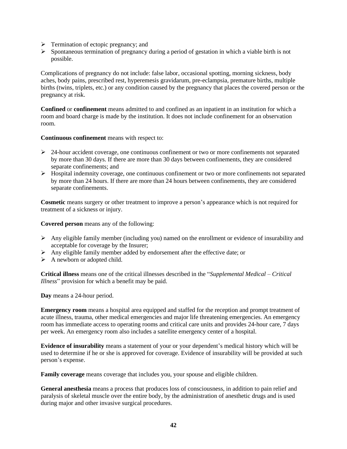- ➢ Termination of ectopic pregnancy; and
- $\triangleright$  Spontaneous termination of pregnancy during a period of gestation in which a viable birth is not possible.

Complications of pregnancy do not include: false labor, occasional spotting, morning sickness, body aches, body pains, prescribed rest, hyperemesis gravidarum, pre-eclampsia, premature births, multiple births (twins, triplets, etc.) or any condition caused by the pregnancy that places the covered person or the pregnancy at risk.

**Confined** or **confinement** means admitted to and confined as an inpatient in an institution for which a room and board charge is made by the institution. It does not include confinement for an observation room.

**Continuous confinement** means with respect to:

- $\geq$  24-hour accident coverage, one continuous confinement or two or more confinements not separated by more than 30 days. If there are more than 30 days between confinements, they are considered separate confinements; and
- $\triangleright$  Hospital indemnity coverage, one continuous confinement or two or more confinements not separated by more than 24 hours. If there are more than 24 hours between confinements, they are considered separate confinements.

**Cosmetic** means surgery or other treatment to improve a person's appearance which is not required for treatment of a sickness or injury.

**Covered person** means any of the following:

- $\triangleright$  Any eligible family member (including you) named on the enrollment or evidence of insurability and acceptable for coverage by the Insurer;
- ➢ Any eligible family member added by endorsement after the effective date; or
- $\triangleright$  A newborn or adopted child.

**Critical illness** means one of the critical illnesses described in the "*Supplemental Medical – Critical Illness*" provision for which a benefit may be paid.

**Day** means a 24-hour period.

**Emergency room** means a hospital area equipped and staffed for the reception and prompt treatment of acute illness, trauma, other medical emergencies and major life threatening emergencies. An emergency room has immediate access to operating rooms and critical care units and provides 24-hour care, 7 days per week. An emergency room also includes a satellite emergency center of a hospital.

**Evidence of insurability** means a statement of your or your dependent's medical history which will be used to determine if he or she is approved for coverage. Evidence of insurability will be provided at such person's expense.

**Family coverage** means coverage that includes you, your spouse and eligible children.

**General anesthesia** means a process that produces loss of consciousness, in addition to pain relief and paralysis of skeletal muscle over the entire body, by the administration of anesthetic drugs and is used during major and other invasive surgical procedures.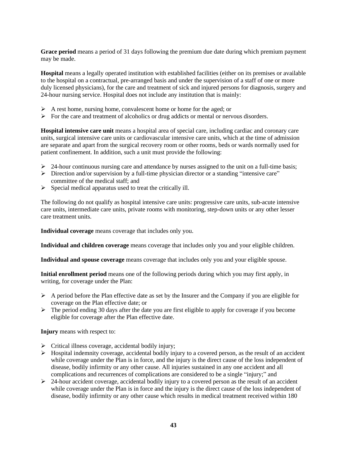**Grace period** means a period of 31 days following the premium due date during which premium payment may be made.

**Hospital** means a legally operated institution with established facilities (either on its premises or available to the hospital on a contractual, pre-arranged basis and under the supervision of a staff of one or more duly licensed physicians), for the care and treatment of sick and injured persons for diagnosis, surgery and 24-hour nursing service. Hospital does not include any institution that is mainly:

- $\triangleright$  A rest home, nursing home, convalescent home or home for the aged; or
- $\triangleright$  For the care and treatment of alcoholics or drug addicts or mental or nervous disorders.

**Hospital intensive care unit** means a hospital area of special care, including cardiac and coronary care units, surgical intensive care units or cardiovascular intensive care units, which at the time of admission are separate and apart from the surgical recovery room or other rooms, beds or wards normally used for patient confinement. In addition, such a unit must provide the following:

- $\geq$  24-hour continuous nursing care and attendance by nurses assigned to the unit on a full-time basis;
- $\triangleright$  Direction and/or supervision by a full-time physician director or a standing "intensive care" committee of the medical staff; and
- $\triangleright$  Special medical apparatus used to treat the critically ill.

The following do not qualify as hospital intensive care units: progressive care units, sub-acute intensive care units, intermediate care units, private rooms with monitoring, step-down units or any other lesser care treatment units.

**Individual coverage** means coverage that includes only you.

**Individual and children coverage** means coverage that includes only you and your eligible children.

**Individual and spouse coverage** means coverage that includes only you and your eligible spouse.

**Initial enrollment period** means one of the following periods during which you may first apply, in writing, for coverage under the Plan:

- ➢ A period before the Plan effective date as set by the Insurer and the Company if you are eligible for coverage on the Plan effective date; or
- $\triangleright$  The period ending 30 days after the date you are first eligible to apply for coverage if you become eligible for coverage after the Plan effective date.

**Injury** means with respect to:

- ➢ Critical illness coverage, accidental bodily injury;
- $\triangleright$  Hospital indemnity coverage, accidental bodily injury to a covered person, as the result of an accident while coverage under the Plan is in force, and the injury is the direct cause of the loss independent of disease, bodily infirmity or any other cause. All injuries sustained in any one accident and all complications and recurrences of complications are considered to be a single "injury;" and
- $\geq$  24-hour accident coverage, accidental bodily injury to a covered person as the result of an accident while coverage under the Plan is in force and the injury is the direct cause of the loss independent of disease, bodily infirmity or any other cause which results in medical treatment received within 180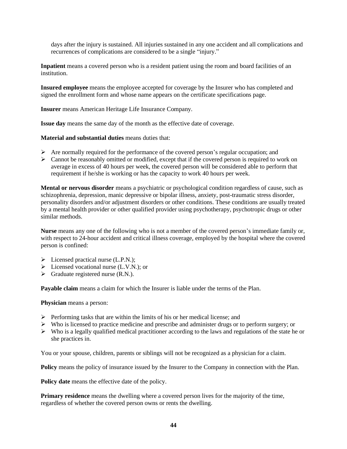days after the injury is sustained. All injuries sustained in any one accident and all complications and recurrences of complications are considered to be a single "injury."

**Inpatient** means a covered person who is a resident patient using the room and board facilities of an institution.

**Insured employee** means the employee accepted for coverage by the Insurer who has completed and signed the enrollment form and whose name appears on the certificate specifications page.

**Insurer** means American Heritage Life Insurance Company.

**Issue day** means the same day of the month as the effective date of coverage.

**Material and substantial duties** means duties that:

- $\triangleright$  Are normally required for the performance of the covered person's regular occupation; and
- ➢ Cannot be reasonably omitted or modified, except that if the covered person is required to work on average in excess of 40 hours per week, the covered person will be considered able to perform that requirement if he/she is working or has the capacity to work 40 hours per week.

**Mental or nervous disorder** means a psychiatric or psychological condition regardless of cause, such as schizophrenia, depression, manic depressive or bipolar illness, anxiety, post-traumatic stress disorder, personality disorders and/or adjustment disorders or other conditions. These conditions are usually treated by a mental health provider or other qualified provider using psychotherapy, psychotropic drugs or other similar methods.

**Nurse** means any one of the following who is not a member of the covered person's immediate family or, with respect to 24-hour accident and critical illness coverage, employed by the hospital where the covered person is confined:

- ➢ Licensed practical nurse (L.P.N.);
- $\triangleright$  Licensed vocational nurse (L.V.N.); or
- $\triangleright$  Graduate registered nurse (R.N.).

**Payable claim** means a claim for which the Insurer is liable under the terms of the Plan.

**Physician** means a person:

- $\triangleright$  Performing tasks that are within the limits of his or her medical license; and
- ➢ Who is licensed to practice medicine and prescribe and administer drugs or to perform surgery; or
- $\triangleright$  Who is a legally qualified medical practitioner according to the laws and regulations of the state he or she practices in.

You or your spouse, children, parents or siblings will not be recognized as a physician for a claim.

**Policy** means the policy of insurance issued by the Insurer to the Company in connection with the Plan.

**Policy date** means the effective date of the policy.

**Primary residence** means the dwelling where a covered person lives for the majority of the time, regardless of whether the covered person owns or rents the dwelling.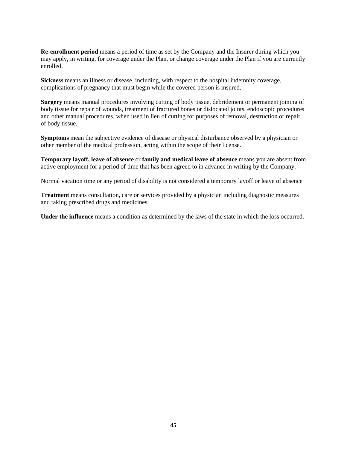**Re-enrollment period** means a period of time as set by the Company and the Insurer during which you may apply, in writing, for coverage under the Plan, or change coverage under the Plan if you are currently enrolled.

**Sickness** means an illness or disease, including, with respect to the hospital indemnity coverage, complications of pregnancy that must begin while the covered person is insured.

**Surgery** means manual procedures involving cutting of body tissue, debridement or permanent joining of body tissue for repair of wounds, treatment of fractured bones or dislocated joints, endoscopic procedures and other manual procedures, when used in lieu of cutting for purposes of removal, destruction or repair of body tissue.

**Symptoms** mean the subjective evidence of disease or physical disturbance observed by a physician or other member of the medical profession, acting within the scope of their license.

**Temporary layoff, leave of absence** or **family and medical leave of absence** means you are absent from active employment for a period of time that has been agreed to in advance in writing by the Company.

Normal vacation time or any period of disability is not considered a temporary layoff or leave of absence

**Treatment** means consultation, care or services provided by a physician including diagnostic measures and taking prescribed drugs and medicines.

**Under the influence** means a condition as determined by the laws of the state in which the loss occurred.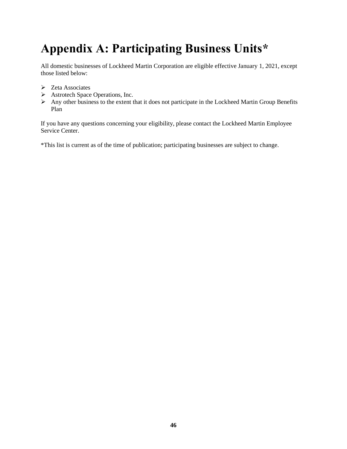## <span id="page-50-0"></span>**Appendix A: Participating Business Units\***

All domestic businesses of Lockheed Martin Corporation are eligible effective January 1, 2021, except those listed below:

- ➢ Zeta Associates
- ➢ Astrotech Space Operations, Inc.
- ➢ Any other business to the extent that it does not participate in the Lockheed Martin Group Benefits Plan

If you have any questions concerning your eligibility, please contact the Lockheed Martin Employee Service Center.

\*This list is current as of the time of publication; participating businesses are subject to change.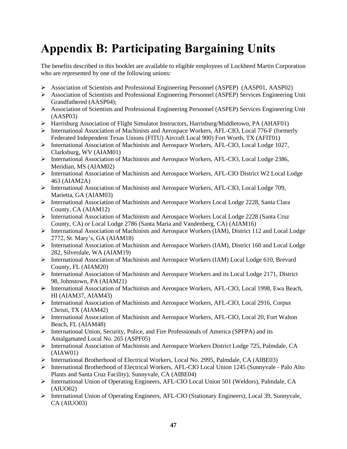# <span id="page-51-0"></span>**Appendix B: Participating Bargaining Units**

The benefits described in this booklet are available to eligible employees of Lockheed Martin Corporation who are represented by one of the following unions:

- ➢ Association of Scientists and Professional Engineering Personnel (ASPEP) (AASP01, AASP02)
- ➢ Association of Scientists and Professional Engineering Personnel (ASPEP) Services Engineering Unit Grandfathered (AASP04);
- ➢ Association of Scientists and Professional Engineering Personnel (ASPEP) Services Engineering Unit (AASP03)
- ➢ Harrisburg Association of Flight Simulator Instructors, Harrisburg/Middletown, PA (AHAF01)
- ➢ International Association of Machinists and Aerospace Workers, AFL-CIO, Local 776-F (formerly Federated Independent Texas Unions (FITU) Aircraft Local 900) Fort Worth, TX (AFIT01)
- ➢ International Association of Machinists and Aerospace Workers, AFL-CIO, Local Lodge 1027, Clarksburg, WV (AIAM01)
- ➢ International Association of Machinists and Aerospace Workers, AFL-CIO, Local Lodge 2386, Meridian, MS (AIAM02)
- ➢ International Association of Machinists and Aerospace Workers, AFL-CIO District W2 Local Lodge 463 (AIAM2A)
- ➢ International Association of Machinists and Aerospace Workers, AFL-CIO, Local Lodge 709, Marietta, GA (AIAM03)
- ➢ International Association of Machinists and Aerospace Workers Local Lodge 2228, Santa Clara County, CA (AIAM12)
- ➢ International Association of Machinists and Aerospace Workers Local Lodge 2228 (Santa Cruz County, CA) or Local Lodge 2786 (Santa Maria and Vandenberg, CA) (AIAM16)
- ➢ International Association of Machinists and Aerospace Workers (IAM), District 112 and Local Lodge 2772, St. Mary's, GA (AIAM18)
- ➢ International Association of Machinists and Aerospace Workers (IAM), District 160 and Local Lodge 282, Silverdale, WA (AIAM19)
- ➢ International Association of Machinists and Aerospace Workers (IAM) Local Lodge 610, Brevard County, FL (AIAM20)
- $\triangleright$  International Association of Machinists and Aerospace Workers and its Local Lodge 2171, District 98, Johnstown, PA (AIAM21)
- ➢ International Association of Machinists and Aerospace Workers, AFL-CIO, Local 1998, Ewa Beach, HI (AIAM37, AIAM43)
- ➢ International Association of Machinists and Aerospace Workers, AFL-CIO, Local 2916, Corpus Christi, TX (AIAM42)
- ➢ International Association of Machinists and Aerospace Workers, AFL-CIO, Local 20, Fort Walton Beach, FL (AIAM48)
- ➢ International Union, Security, Police, and Fire Professionals of America (SPFPA) and its Amalgamated Local No. 265 (ASPF05)
- ➢ International Association of Machinists and Aerospace Workers District Lodge 725, Palmdale, CA (AIAW01)
- ➢ International Brotherhood of Electrical Workers, Local No. 2995, Palmdale, CA (AIBE03)
- ➢ International Brotherhood of Electrical Workers, AFL-CIO Local Union 1245 (Sunnyvale Palo Alto Plants and Santa Cruz Facility), Sunnyvale, CA (AIBE04)
- ➢ International Union of Operating Engineers, AFL-CIO Local Union 501 (Weldors), Palmdale, CA (AIUO02)
- ➢ International Union of Operating Engineers, AFL-CIO (Stationary Engineers), Local 39, Sunnyvale, CA (AIUO03)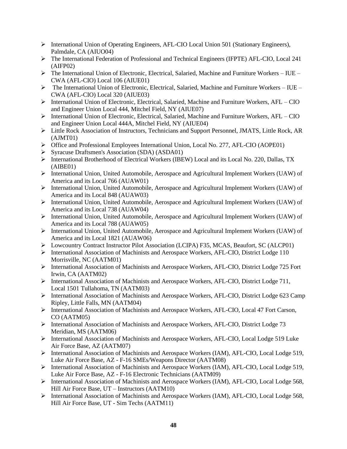- ➢ International Union of Operating Engineers, AFL-CIO Local Union 501 (Stationary Engineers), Palmdale, CA (AIUO04)
- ➢ The International Federation of Professional and Technical Engineers (IFPTE) AFL-CIO, Local 241 (AIFP02)
- $\triangleright$  The International Union of Electronic, Electrical, Salaried, Machine and Furniture Workers IUE CWA (AFL-CIO) Local 106 (AIUE01)
- ➢ The International Union of Electronic, Electrical, Salaried, Machine and Furniture Workers IUE CWA (AFL-CIO) Local 320 (AIUE03)
- ➢ International Union of Electronic, Electrical, Salaried, Machine and Furniture Workers, AFL CIO and Engineer Union Local 444, Mitchel Field, NY (AIUE07)
- $\triangleright$  International Union of Electronic, Electrical, Salaried, Machine and Furniture Workers, AFL CIO and Engineer Union Local 444A, Mitchel Field, NY (AIUE04)
- ➢ Little Rock Association of Instructors, Technicians and Support Personnel, JMATS, Little Rock, AR (AJMT01)
- ➢ Office and Professional Employees International Union, Local No. 277, AFL-CIO (AOPE01)
- ➢ Syracuse Draftsmen's Association (SDA) (ASDA01)
- ➢ International Brotherhood of Electrical Workers (IBEW) Local and its Local No. 220, Dallas, TX (AIBE01)
- ➢ International Union, United Automobile, Aerospace and Agricultural Implement Workers (UAW) of America and its Local 766 (AUAW01)
- ➢ International Union, United Automobile, Aerospace and Agricultural Implement Workers (UAW) of America and its Local 848 (AUAW03)
- ➢ International Union, United Automobile, Aerospace and Agricultural Implement Workers (UAW) of America and its Local 738 (AUAW04)
- ➢ International Union, United Automobile, Aerospace and Agricultural Implement Workers (UAW) of America and its Local 788 (AUAW05)
- ➢ International Union, United Automobile, Aerospace and Agricultural Implement Workers (UAW) of America and its Local 1821 (AUAW06)
- ➢ Lowcountry Contract Instructor Pilot Association (LCIPA) F35, MCAS, Beaufort, SC (ALCP01)
- ➢ International Association of Machinists and Aerospace Workers, AFL-CIO, District Lodge 110 Morrisville, NC (AATM01)
- ➢ International Association of Machinists and Aerospace Workers, AFL-CIO, District Lodge 725 Fort Irwin, CA (AATM02)
- ➢ International Association of Machinists and Aerospace Workers, AFL-CIO, District Lodge 711, Local 1501 Tullahoma, TN (AATM03)
- ➢ International Association of Machinists and Aerospace Workers, AFL-CIO, District Lodge 623 Camp Ripley, Little Falls, MN (AATM04)
- ➢ International Association of Machinists and Aerospace Workers, AFL-CIO, Local 47 Fort Carson, CO (AATM05)
- ➢ International Association of Machinists and Aerospace Workers, AFL-CIO, District Lodge 73 Meridian, MS (AATM06)
- ➢ International Association of Machinists and Aerospace Workers, AFL-CIO, Local Lodge 519 Luke Air Force Base, AZ (AATM07)
- ➢ International Association of Machinists and Aerospace Workers (IAM), AFL-CIO, Local Lodge 519, Luke Air Force Base, AZ - F-16 SMEs/Weapons Director (AATM08)
- ➢ International Association of Machinists and Aerospace Workers (IAM), AFL-CIO, Local Lodge 519, Luke Air Force Base, AZ - F-16 Electronic Technicians (AATM09)
- ➢ International Association of Machinists and Aerospace Workers (IAM), AFL-CIO, Local Lodge 568, Hill Air Force Base, UT – Instructors (AATM10)
- ➢ International Association of Machinists and Aerospace Workers (IAM), AFL-CIO, Local Lodge 568, Hill Air Force Base, UT - Sim Techs (AATM11)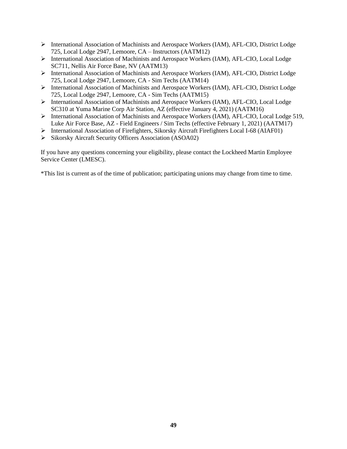- ➢ International Association of Machinists and Aerospace Workers (IAM), AFL-CIO, District Lodge 725, Local Lodge 2947, Lemoore, CA – Instructors (AATM12)
- ➢ International Association of Machinists and Aerospace Workers (IAM), AFL-CIO, Local Lodge SC711, Nellis Air Force Base, NV (AATM13)
- ➢ International Association of Machinists and Aerospace Workers (IAM), AFL-CIO, District Lodge 725, Local Lodge 2947, Lemoore, CA - Sim Techs (AATM14)
- ➢ International Association of Machinists and Aerospace Workers (IAM), AFL-CIO, District Lodge 725, Local Lodge 2947, Lemoore, CA - Sim Techs (AATM15)
- ➢ International Association of Machinists and Aerospace Workers (IAM), AFL-CIO, Local Lodge SC310 at Yuma Marine Corp Air Station, AZ (effective January 4, 2021) (AATM16)
- ➢ International Association of Machinists and Aerospace Workers (IAM), AFL-CIO, Local Lodge 519, Luke Air Force Base, AZ - Field Engineers / Sim Techs (effective February 1, 2021) (AATM17)
- ➢ International Association of Firefighters, Sikorsky Aircraft Firefighters Local I-68 (AIAF01)
- ➢ Sikorsky Aircraft Security Officers Association (ASOA02)

If you have any questions concerning your eligibility, please contact the Lockheed Martin Employee Service Center (LMESC).

\*This list is current as of the time of publication; participating unions may change from time to time.